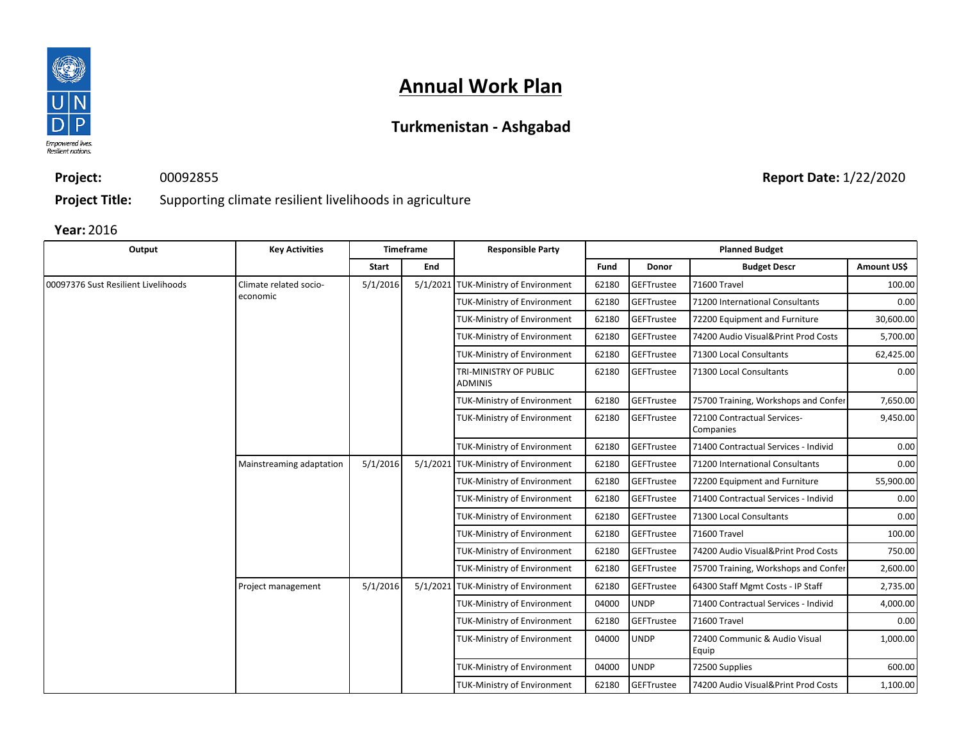

## **Turkmenistan - Ashgabad**

**Project:** 00092855

**Report Date:** 1/22/2020

**Project Title:** Supporting climate resilient livelihoods in agriculture

| Output                              | <b>Key Activities</b>    |          | Timeframe                          | <b>Responsible Party</b>                 |             |                                        | <b>Planned Budget</b>                    |             |  |  |
|-------------------------------------|--------------------------|----------|------------------------------------|------------------------------------------|-------------|----------------------------------------|------------------------------------------|-------------|--|--|
|                                     |                          | Start    | End                                |                                          | Fund        | Donor                                  | <b>Budget Descr</b>                      | Amount US\$ |  |  |
| 00097376 Sust Resilient Livelihoods | Climate related socio-   | 5/1/2016 |                                    | 5/1/2021 TUK-Ministry of Environment     | 62180       | GEFTrustee                             | 71600 Travel                             | 100.00      |  |  |
|                                     | economic                 |          |                                    | <b>TUK-Ministry of Environment</b>       | 62180       | GEFTrustee                             | 71200 International Consultants          | 0.00        |  |  |
|                                     |                          |          |                                    | <b>TUK-Ministry of Environment</b>       | 62180       | GEFTrustee                             | 72200 Equipment and Furniture            | 30,600.00   |  |  |
|                                     |                          |          |                                    | <b>TUK-Ministry of Environment</b>       | 62180       | GEFTrustee                             | 74200 Audio Visual&Print Prod Costs      | 5,700.00    |  |  |
|                                     |                          |          |                                    | <b>TUK-Ministry of Environment</b>       | 62180       | GEFTrustee                             | 71300 Local Consultants                  | 62,425.00   |  |  |
|                                     |                          |          |                                    | TRI-MINISTRY OF PUBLIC<br><b>ADMINIS</b> | 62180       | GEFTrustee                             | 71300 Local Consultants                  | 0.00        |  |  |
|                                     |                          |          |                                    | <b>TUK-Ministry of Environment</b>       | 62180       | GEFTrustee                             | 75700 Training, Workshops and Confer     | 7,650.00    |  |  |
|                                     |                          |          |                                    | <b>TUK-Ministry of Environment</b>       | 62180       | GEFTrustee                             | 72100 Contractual Services-<br>Companies | 9,450.00    |  |  |
|                                     |                          |          |                                    | <b>TUK-Ministry of Environment</b>       | 62180       | GEFTrustee                             | 71400 Contractual Services - Individ     | 0.00        |  |  |
|                                     | Mainstreaming adaptation | 5/1/2016 |                                    | 5/1/2021 TUK-Ministry of Environment     | 62180       | GEFTrustee                             | 71200 International Consultants          | 0.00        |  |  |
|                                     |                          |          |                                    | <b>TUK-Ministry of Environment</b>       | 62180       | GEFTrustee                             | 72200 Equipment and Furniture            | 55,900.00   |  |  |
|                                     |                          |          |                                    | <b>TUK-Ministry of Environment</b>       | 62180       | GEFTrustee                             | 71400 Contractual Services - Individ     | 0.00        |  |  |
|                                     |                          |          |                                    | <b>TUK-Ministry of Environment</b>       | 62180       | GEFTrustee                             | 71300 Local Consultants                  | 0.00        |  |  |
|                                     |                          |          |                                    | <b>TUK-Ministry of Environment</b>       | 62180       | GEFTrustee                             | 71600 Travel                             | 100.00      |  |  |
|                                     |                          |          |                                    | TUK-Ministry of Environment              | 62180       | GEFTrustee                             | 74200 Audio Visual&Print Prod Costs      | 750.00      |  |  |
|                                     |                          |          |                                    | <b>TUK-Ministry of Environment</b>       | 62180       | GEFTrustee                             | 75700 Training, Workshops and Confer     | 2,600.00    |  |  |
|                                     | Project management       | 5/1/2016 |                                    | 5/1/2021 TUK-Ministry of Environment     | 62180       | GEFTrustee                             | 64300 Staff Mgmt Costs - IP Staff        | 2,735.00    |  |  |
|                                     |                          |          |                                    | <b>TUK-Ministry of Environment</b>       | 04000       | <b>UNDP</b>                            | 71400 Contractual Services - Individ     | 4,000.00    |  |  |
|                                     |                          |          |                                    | <b>TUK-Ministry of Environment</b>       | 62180       | GEFTrustee                             | 71600 Travel                             | 0.00        |  |  |
|                                     |                          |          | <b>TUK-Ministry of Environment</b> | 04000                                    | <b>UNDP</b> | 72400 Communic & Audio Visual<br>Equip | 1,000.00                                 |             |  |  |
|                                     |                          |          |                                    | <b>TUK-Ministry of Environment</b>       | 04000       | <b>UNDP</b>                            | 72500 Supplies                           | 600.00      |  |  |
|                                     |                          |          |                                    | <b>TUK-Ministry of Environment</b>       | 62180       | GEFTrustee                             | 74200 Audio Visual&Print Prod Costs      | 1,100.00    |  |  |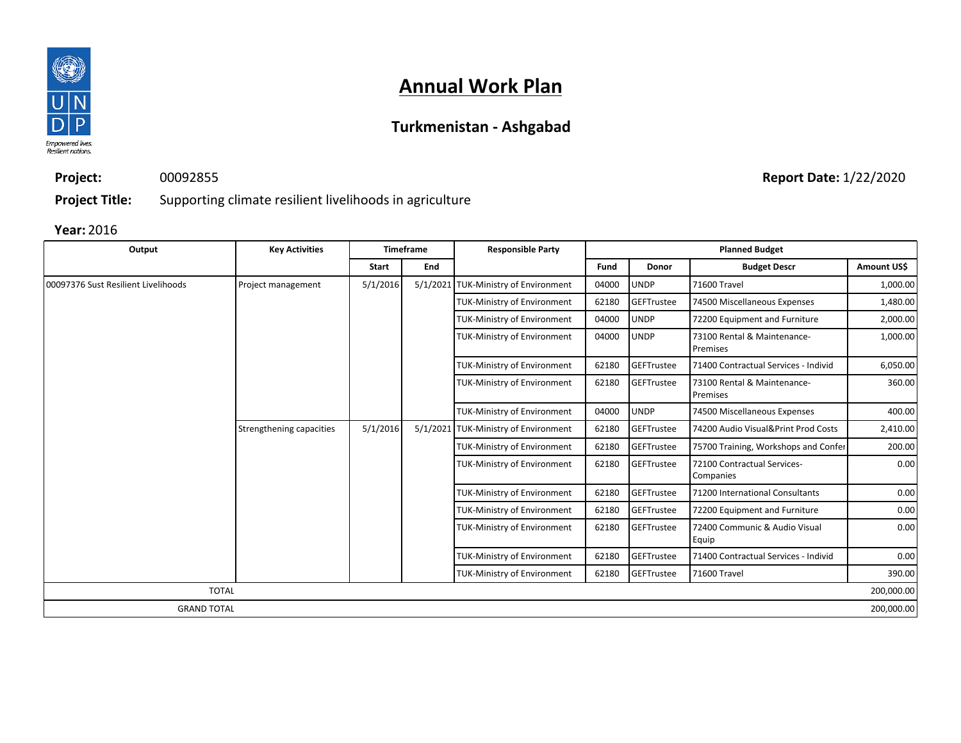

## **Turkmenistan - Ashgabad**

**Project:** 00092855

**Report Date:** 1/22/2020

**Project Title:** Supporting climate resilient livelihoods in agriculture

| Output                              | <b>Key Activities</b>    |          | <b>Timeframe</b> | <b>Responsible Party</b>             |       |              | <b>Planned Budget</b>                          |             |
|-------------------------------------|--------------------------|----------|------------------|--------------------------------------|-------|--------------|------------------------------------------------|-------------|
|                                     |                          | Start    | End              |                                      | Fund  | <b>Donor</b> | <b>Budget Descr</b>                            | Amount US\$ |
| 00097376 Sust Resilient Livelihoods | Project management       | 5/1/2016 |                  | 5/1/2021 TUK-Ministry of Environment | 04000 | <b>UNDP</b>  | 71600 Travel                                   | 1,000.00    |
|                                     |                          |          |                  | <b>TUK-Ministry of Environment</b>   | 62180 | GEFTrustee   | 74500 Miscellaneous Expenses                   | 1,480.00    |
|                                     |                          |          |                  | <b>TUK-Ministry of Environment</b>   | 04000 | <b>UNDP</b>  | 72200 Equipment and Furniture                  | 2,000.00    |
|                                     |                          |          |                  | <b>TUK-Ministry of Environment</b>   | 04000 | <b>UNDP</b>  | 73100 Rental & Maintenance-<br><b>Premises</b> | 1,000.00    |
|                                     |                          |          |                  | <b>TUK-Ministry of Environment</b>   | 62180 | GEFTrustee   | 71400 Contractual Services - Individ           | 6,050.00    |
|                                     |                          |          |                  | <b>TUK-Ministry of Environment</b>   | 62180 | GEFTrustee   | 73100 Rental & Maintenance-<br>Premises        | 360.00      |
|                                     |                          |          |                  | <b>TUK-Ministry of Environment</b>   | 04000 | <b>UNDP</b>  | 74500 Miscellaneous Expenses                   | 400.00      |
|                                     | Strengthening capacities | 5/1/2016 |                  | 5/1/2021 TUK-Ministry of Environment | 62180 | GEFTrustee   | 74200 Audio Visual&Print Prod Costs            | 2,410.00    |
|                                     |                          |          |                  | <b>TUK-Ministry of Environment</b>   | 62180 | GEFTrustee   | 75700 Training, Workshops and Confer           | 200.00      |
|                                     |                          |          |                  | <b>TUK-Ministry of Environment</b>   | 62180 | GEFTrustee   | 72100 Contractual Services-<br>Companies       | 0.00        |
|                                     |                          |          |                  | <b>TUK-Ministry of Environment</b>   | 62180 | GEFTrustee   | 71200 International Consultants                | 0.00        |
|                                     |                          |          |                  | <b>TUK-Ministry of Environment</b>   | 62180 | GEFTrustee   | 72200 Equipment and Furniture                  | 0.00        |
|                                     |                          |          |                  | <b>TUK-Ministry of Environment</b>   | 62180 | GEFTrustee   | 72400 Communic & Audio Visual<br>Equip         | 0.00        |
|                                     |                          |          |                  | TUK-Ministry of Environment          | 62180 | GEFTrustee   | 71400 Contractual Services - Individ           | 0.00        |
|                                     |                          |          |                  | <b>TUK-Ministry of Environment</b>   | 62180 | GEFTrustee   | 71600 Travel                                   | 390.00      |
| <b>TOTAL</b>                        |                          |          |                  |                                      |       |              |                                                | 200,000.00  |
| <b>GRAND TOTAL</b>                  |                          |          |                  |                                      |       |              |                                                | 200,000.00  |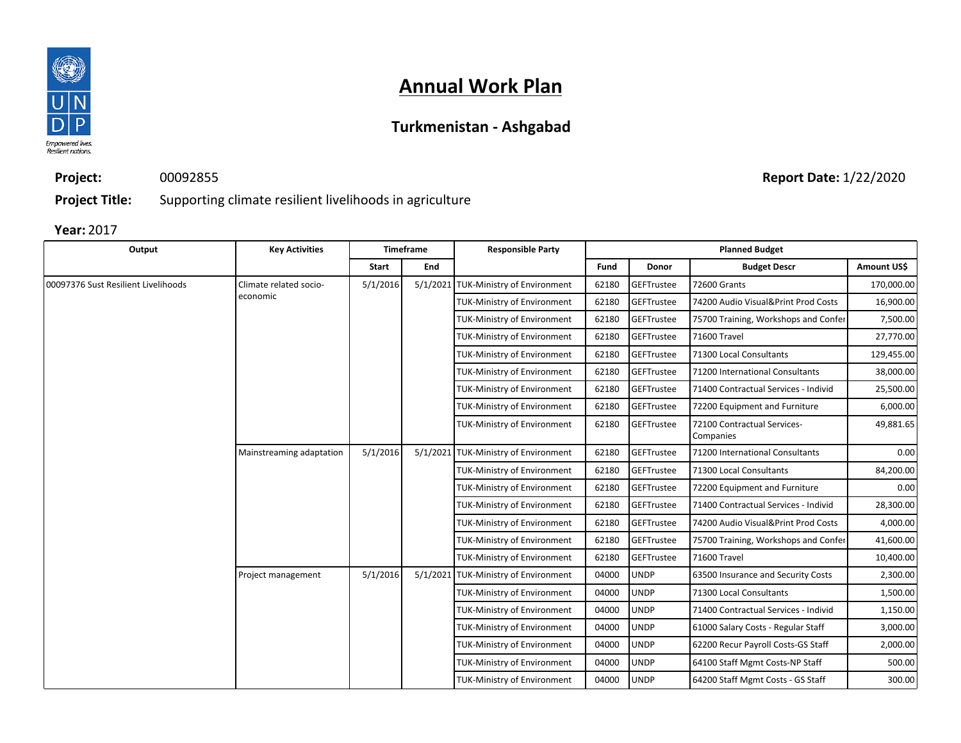

## **Turkmenistan - Ashgabad**

**Project:** 00092855

**Report Date:** 1/22/2020

**Project Title:** Supporting climate resilient livelihoods in agriculture

| Output                              | <b>Key Activities</b>    |          | Timeframe | <b>Responsible Party</b>             |       |              | <b>Planned Budget</b>                    |             |  |  |  |  |  |  |  |  |  |  |  |  |  |  |  |  |  |  |  |  |  |  |  |  |                                    |       |             |                                 |        |  |  |                                    |       |             |                                    |          |
|-------------------------------------|--------------------------|----------|-----------|--------------------------------------|-------|--------------|------------------------------------------|-------------|--|--|--|--|--|--|--|--|--|--|--|--|--|--|--|--|--|--|--|--|--|--|--|--|------------------------------------|-------|-------------|---------------------------------|--------|--|--|------------------------------------|-------|-------------|------------------------------------|----------|
|                                     |                          | Start    | End       |                                      | Fund  | <b>Donor</b> | <b>Budget Descr</b>                      | Amount US\$ |  |  |  |  |  |  |  |  |  |  |  |  |  |  |  |  |  |  |  |  |  |  |  |  |                                    |       |             |                                 |        |  |  |                                    |       |             |                                    |          |
| 00097376 Sust Resilient Livelihoods | Climate related socio-   | 5/1/2016 |           | 5/1/2021 TUK-Ministry of Environment | 62180 | GEFTrustee   | <b>72600 Grants</b>                      | 170,000.00  |  |  |  |  |  |  |  |  |  |  |  |  |  |  |  |  |  |  |  |  |  |  |  |  |                                    |       |             |                                 |        |  |  |                                    |       |             |                                    |          |
|                                     | economic                 |          |           | <b>TUK-Ministry of Environment</b>   | 62180 | GEFTrustee   | 74200 Audio Visual&Print Prod Costs      | 16,900.00   |  |  |  |  |  |  |  |  |  |  |  |  |  |  |  |  |  |  |  |  |  |  |  |  |                                    |       |             |                                 |        |  |  |                                    |       |             |                                    |          |
|                                     |                          |          |           | <b>TUK-Ministry of Environment</b>   | 62180 | GEFTrustee   | 75700 Training, Workshops and Confer     | 7,500.00    |  |  |  |  |  |  |  |  |  |  |  |  |  |  |  |  |  |  |  |  |  |  |  |  |                                    |       |             |                                 |        |  |  |                                    |       |             |                                    |          |
|                                     |                          |          |           | TUK-Ministry of Environment          | 62180 | GEFTrustee   | 71600 Travel                             | 27,770.00   |  |  |  |  |  |  |  |  |  |  |  |  |  |  |  |  |  |  |  |  |  |  |  |  |                                    |       |             |                                 |        |  |  |                                    |       |             |                                    |          |
|                                     |                          |          |           | <b>TUK-Ministry of Environment</b>   | 62180 | GEFTrustee   | 71300 Local Consultants                  | 129,455.00  |  |  |  |  |  |  |  |  |  |  |  |  |  |  |  |  |  |  |  |  |  |  |  |  |                                    |       |             |                                 |        |  |  |                                    |       |             |                                    |          |
|                                     |                          |          |           | TUK-Ministry of Environment          | 62180 | GEFTrustee   | 71200 International Consultants          | 38,000.00   |  |  |  |  |  |  |  |  |  |  |  |  |  |  |  |  |  |  |  |  |  |  |  |  |                                    |       |             |                                 |        |  |  |                                    |       |             |                                    |          |
|                                     |                          |          |           | <b>TUK-Ministry of Environment</b>   | 62180 | GEFTrustee   | 71400 Contractual Services - Individ     | 25,500.00   |  |  |  |  |  |  |  |  |  |  |  |  |  |  |  |  |  |  |  |  |  |  |  |  |                                    |       |             |                                 |        |  |  |                                    |       |             |                                    |          |
|                                     |                          |          |           | <b>TUK-Ministry of Environment</b>   | 62180 | GEFTrustee   | 72200 Equipment and Furniture            | 6,000.00    |  |  |  |  |  |  |  |  |  |  |  |  |  |  |  |  |  |  |  |  |  |  |  |  |                                    |       |             |                                 |        |  |  |                                    |       |             |                                    |          |
|                                     |                          |          |           | TUK-Ministry of Environment          | 62180 | GEFTrustee   | 72100 Contractual Services-<br>Companies | 49,881.65   |  |  |  |  |  |  |  |  |  |  |  |  |  |  |  |  |  |  |  |  |  |  |  |  |                                    |       |             |                                 |        |  |  |                                    |       |             |                                    |          |
|                                     | Mainstreaming adaptation | 5/1/2016 |           | 5/1/2021 TUK-Ministry of Environment | 62180 | GEFTrustee   | 71200 International Consultants          | 0.00        |  |  |  |  |  |  |  |  |  |  |  |  |  |  |  |  |  |  |  |  |  |  |  |  |                                    |       |             |                                 |        |  |  |                                    |       |             |                                    |          |
|                                     |                          |          |           | <b>TUK-Ministry of Environment</b>   | 62180 | GEFTrustee   | 71300 Local Consultants                  | 84,200.00   |  |  |  |  |  |  |  |  |  |  |  |  |  |  |  |  |  |  |  |  |  |  |  |  |                                    |       |             |                                 |        |  |  |                                    |       |             |                                    |          |
|                                     |                          |          |           | <b>TUK-Ministry of Environment</b>   | 62180 | GEFTrustee   | 72200 Equipment and Furniture            | 0.00        |  |  |  |  |  |  |  |  |  |  |  |  |  |  |  |  |  |  |  |  |  |  |  |  |                                    |       |             |                                 |        |  |  |                                    |       |             |                                    |          |
|                                     |                          |          |           | TUK-Ministry of Environment          | 62180 | GEFTrustee   | 71400 Contractual Services - Individ     | 28,300.00   |  |  |  |  |  |  |  |  |  |  |  |  |  |  |  |  |  |  |  |  |  |  |  |  |                                    |       |             |                                 |        |  |  |                                    |       |             |                                    |          |
|                                     |                          |          |           | TUK-Ministry of Environment          | 62180 | GEFTrustee   | 74200 Audio Visual&Print Prod Costs      | 4,000.00    |  |  |  |  |  |  |  |  |  |  |  |  |  |  |  |  |  |  |  |  |  |  |  |  |                                    |       |             |                                 |        |  |  |                                    |       |             |                                    |          |
|                                     |                          |          |           | <b>TUK-Ministry of Environment</b>   | 62180 | GEFTrustee   | 75700 Training, Workshops and Confer     | 41,600.00   |  |  |  |  |  |  |  |  |  |  |  |  |  |  |  |  |  |  |  |  |  |  |  |  |                                    |       |             |                                 |        |  |  |                                    |       |             |                                    |          |
|                                     |                          |          |           | TUK-Ministry of Environment          | 62180 | GEFTrustee   | 71600 Travel                             | 10,400.00   |  |  |  |  |  |  |  |  |  |  |  |  |  |  |  |  |  |  |  |  |  |  |  |  |                                    |       |             |                                 |        |  |  |                                    |       |             |                                    |          |
|                                     | Project management       | 5/1/2016 |           | 5/1/2021 TUK-Ministry of Environment | 04000 | <b>UNDP</b>  | 63500 Insurance and Security Costs       | 2,300.00    |  |  |  |  |  |  |  |  |  |  |  |  |  |  |  |  |  |  |  |  |  |  |  |  |                                    |       |             |                                 |        |  |  |                                    |       |             |                                    |          |
|                                     |                          |          |           | <b>TUK-Ministry of Environment</b>   | 04000 | <b>UNDP</b>  | 71300 Local Consultants                  | 1,500.00    |  |  |  |  |  |  |  |  |  |  |  |  |  |  |  |  |  |  |  |  |  |  |  |  |                                    |       |             |                                 |        |  |  |                                    |       |             |                                    |          |
|                                     |                          |          |           | <b>TUK-Ministry of Environment</b>   | 04000 | <b>UNDP</b>  | 71400 Contractual Services - Individ     | 1,150.00    |  |  |  |  |  |  |  |  |  |  |  |  |  |  |  |  |  |  |  |  |  |  |  |  |                                    |       |             |                                 |        |  |  |                                    |       |             |                                    |          |
|                                     |                          |          |           | <b>TUK-Ministry of Environment</b>   | 04000 | <b>UNDP</b>  | 61000 Salary Costs - Regular Staff       | 3,000.00    |  |  |  |  |  |  |  |  |  |  |  |  |  |  |  |  |  |  |  |  |  |  |  |  |                                    |       |             |                                 |        |  |  |                                    |       |             |                                    |          |
|                                     |                          |          |           |                                      |       |              |                                          |             |  |  |  |  |  |  |  |  |  |  |  |  |  |  |  |  |  |  |  |  |  |  |  |  |                                    |       |             |                                 |        |  |  | <b>TUK-Ministry of Environment</b> | 04000 | <b>UNDP</b> | 62200 Recur Payroll Costs-GS Staff | 2,000.00 |
|                                     |                          |          |           |                                      |       |              |                                          |             |  |  |  |  |  |  |  |  |  |  |  |  |  |  |  |  |  |  |  |  |  |  |  |  | <b>TUK-Ministry of Environment</b> | 04000 | <b>UNDP</b> | 64100 Staff Mgmt Costs-NP Staff | 500.00 |  |  |                                    |       |             |                                    |          |
|                                     |                          |          |           | <b>TUK-Ministry of Environment</b>   | 04000 | <b>UNDP</b>  | 64200 Staff Mgmt Costs - GS Staff        | 300.00      |  |  |  |  |  |  |  |  |  |  |  |  |  |  |  |  |  |  |  |  |  |  |  |  |                                    |       |             |                                 |        |  |  |                                    |       |             |                                    |          |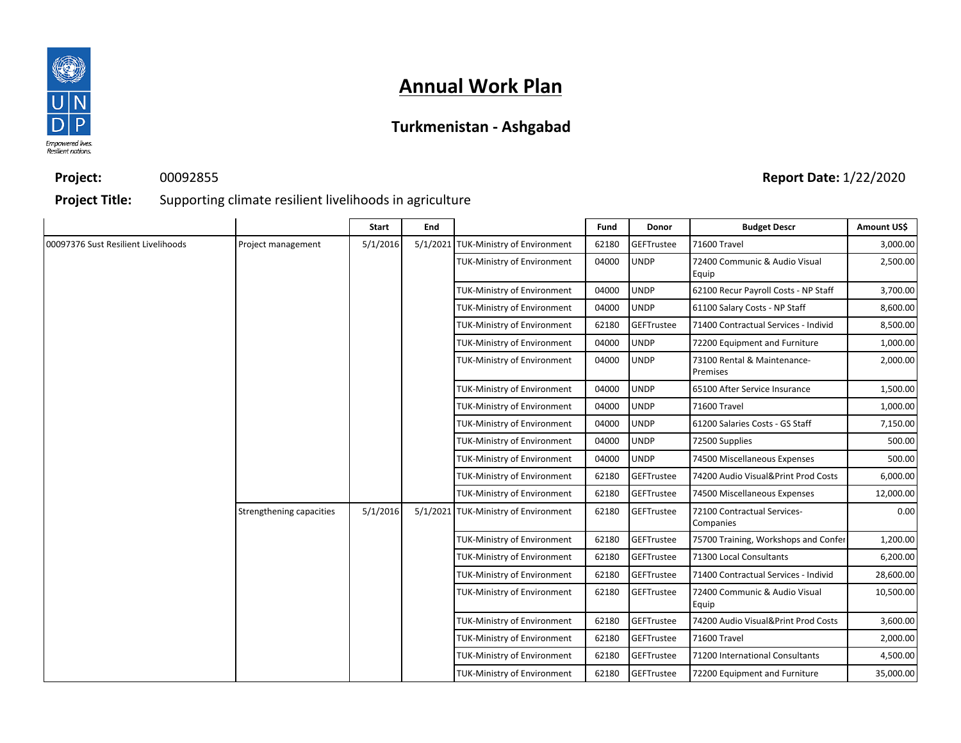

## **Turkmenistan - Ashgabad**

**Project:** 00092855

### **Report Date:** 1/22/2020

**Project Title:** Supporting climate resilient livelihoods in agriculture

|                                     |                          | Start    | End |                                      | Fund  | Donor             | <b>Budget Descr</b>                      | Amount US\$ |
|-------------------------------------|--------------------------|----------|-----|--------------------------------------|-------|-------------------|------------------------------------------|-------------|
| 00097376 Sust Resilient Livelihoods | Project management       | 5/1/2016 |     | 5/1/2021 TUK-Ministry of Environment | 62180 | GEFTrustee        | 71600 Travel                             | 3,000.00    |
|                                     |                          |          |     | <b>TUK-Ministry of Environment</b>   | 04000 | <b>UNDP</b>       | 72400 Communic & Audio Visual<br>Equip   | 2,500.00    |
|                                     |                          |          |     | <b>TUK-Ministry of Environment</b>   | 04000 | <b>UNDP</b>       | 62100 Recur Payroll Costs - NP Staff     | 3,700.00    |
|                                     |                          |          |     | <b>TUK-Ministry of Environment</b>   | 04000 | <b>UNDP</b>       | 61100 Salary Costs - NP Staff            | 8,600.00    |
|                                     |                          |          |     | <b>TUK-Ministry of Environment</b>   | 62180 | GEFTrustee        | 71400 Contractual Services - Individ     | 8,500.00    |
|                                     |                          |          |     | <b>TUK-Ministry of Environment</b>   | 04000 | <b>UNDP</b>       | 72200 Equipment and Furniture            | 1,000.00    |
|                                     |                          |          |     | <b>TUK-Ministry of Environment</b>   | 04000 | <b>UNDP</b>       | 73100 Rental & Maintenance-<br>Premises  | 2,000.00    |
|                                     |                          |          |     | <b>TUK-Ministry of Environment</b>   | 04000 | <b>UNDP</b>       | 65100 After Service Insurance            | 1,500.00    |
|                                     |                          |          |     | <b>TUK-Ministry of Environment</b>   | 04000 | <b>UNDP</b>       | 71600 Travel                             | 1,000.00    |
|                                     |                          |          |     | <b>TUK-Ministry of Environment</b>   | 04000 | <b>UNDP</b>       | 61200 Salaries Costs - GS Staff          | 7,150.00    |
|                                     |                          |          |     | <b>TUK-Ministry of Environment</b>   | 04000 | <b>UNDP</b>       | 72500 Supplies                           | 500.00      |
|                                     |                          |          |     | <b>TUK-Ministry of Environment</b>   | 04000 | <b>UNDP</b>       | 74500 Miscellaneous Expenses             | 500.00      |
|                                     |                          |          |     | <b>TUK-Ministry of Environment</b>   | 62180 | <b>GEFTrustee</b> | 74200 Audio Visual&Print Prod Costs      | 6,000.00    |
|                                     |                          |          |     | <b>TUK-Ministry of Environment</b>   | 62180 | GEFTrustee        | 74500 Miscellaneous Expenses             | 12,000.00   |
|                                     | Strengthening capacities | 5/1/2016 |     | 5/1/2021 TUK-Ministry of Environment | 62180 | <b>GEFTrustee</b> | 72100 Contractual Services-<br>Companies | 0.00        |
|                                     |                          |          |     | <b>TUK-Ministry of Environment</b>   | 62180 | <b>GEFTrustee</b> | 75700 Training, Workshops and Confer     | 1,200.00    |
|                                     |                          |          |     | <b>TUK-Ministry of Environment</b>   | 62180 | <b>GEFTrustee</b> | 71300 Local Consultants                  | 6,200.00    |
|                                     |                          |          |     | <b>TUK-Ministry of Environment</b>   | 62180 | GEFTrustee        | 71400 Contractual Services - Individ     | 28,600.00   |
|                                     |                          |          |     | <b>TUK-Ministry of Environment</b>   | 62180 | <b>GEFTrustee</b> | 72400 Communic & Audio Visual<br>Equip   | 10,500.00   |
|                                     |                          |          |     | <b>TUK-Ministry of Environment</b>   | 62180 | <b>GEFTrustee</b> | 74200 Audio Visual&Print Prod Costs      | 3,600.00    |
|                                     |                          |          |     | <b>TUK-Ministry of Environment</b>   | 62180 | <b>GEFTrustee</b> | 71600 Travel                             | 2,000.00    |
|                                     |                          |          |     | <b>TUK-Ministry of Environment</b>   | 62180 | GEFTrustee        | 71200 International Consultants          | 4,500.00    |
|                                     |                          |          |     | <b>TUK-Ministry of Environment</b>   | 62180 | <b>GEFTrustee</b> | 72200 Equipment and Furniture            | 35,000.00   |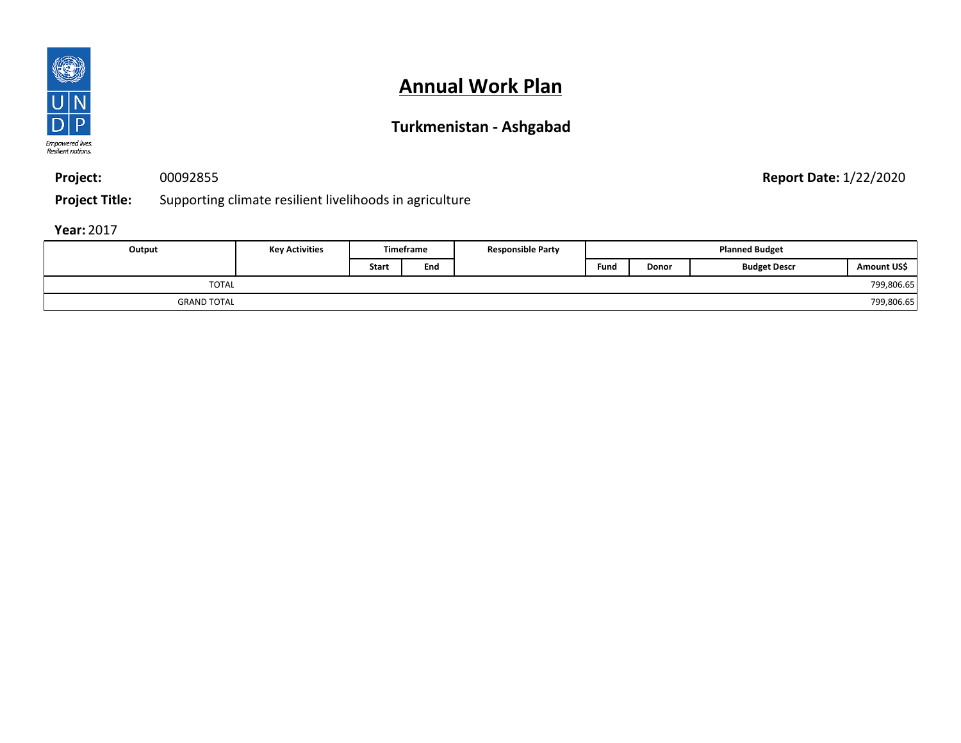

## **Turkmenistan - Ashgabad**

**Project:** 00092855

**Report Date:** 1/22/2020

**Project Title:** Supporting climate resilient livelihoods in agriculture

| Output             | <b>Key Activities</b> |              | <b>Timeframe</b> | <b>Responsible Party</b> |      | <b>Planned Budget</b> |                     |             |
|--------------------|-----------------------|--------------|------------------|--------------------------|------|-----------------------|---------------------|-------------|
|                    |                       | <b>Start</b> | End              |                          | Fund | Donor                 | <b>Budget Descr</b> | Amount US\$ |
| <b>TOTAL</b>       |                       |              |                  |                          |      |                       |                     | 799,806.65  |
| <b>GRAND TOTAL</b> |                       |              |                  |                          |      |                       |                     | 799,806.65  |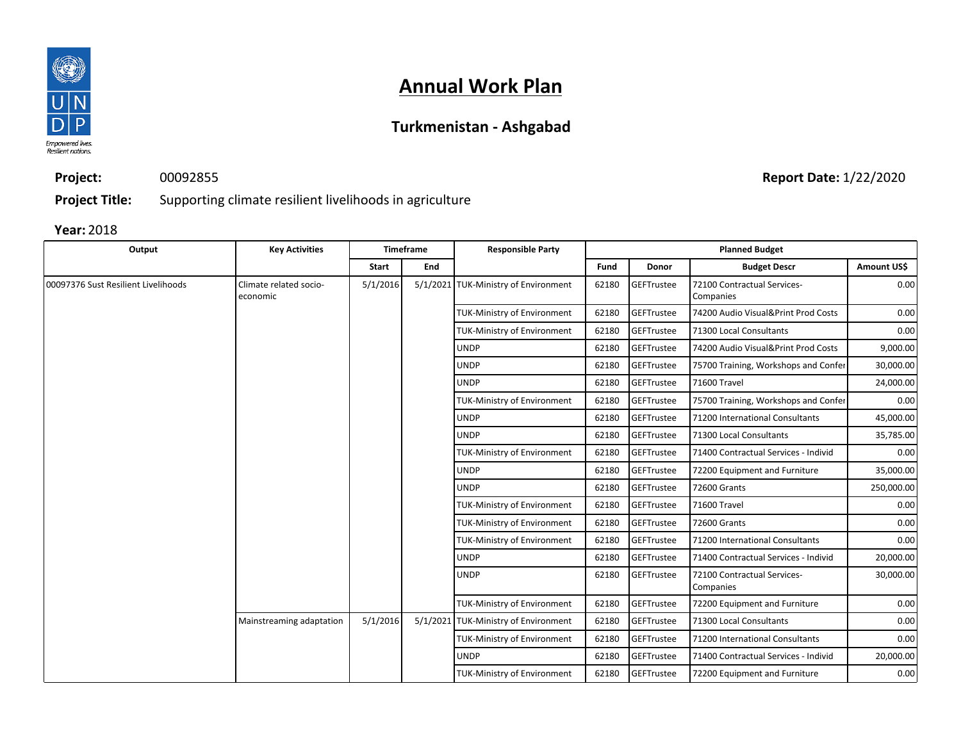

## **Turkmenistan - Ashgabad**

**Project:** 00092855

**Report Date:** 1/22/2020

**Project Title:** Supporting climate resilient livelihoods in agriculture

| Output                              | <b>Key Activities</b>              |          | <b>Timeframe</b> | <b>Responsible Party</b>             |       |                   | <b>Planned Budget</b>                    |             |  |  |  |  |  |             |       |            |                                          |           |             |             |                   |                                      |                                      |           |
|-------------------------------------|------------------------------------|----------|------------------|--------------------------------------|-------|-------------------|------------------------------------------|-------------|--|--|--|--|--|-------------|-------|------------|------------------------------------------|-----------|-------------|-------------|-------------------|--------------------------------------|--------------------------------------|-----------|
|                                     |                                    | Start    | End              |                                      | Fund  | Donor             | <b>Budget Descr</b>                      | Amount US\$ |  |  |  |  |  |             |       |            |                                          |           |             |             |                   |                                      |                                      |           |
| 00097376 Sust Resilient Livelihoods | Climate related socio-<br>economic | 5/1/2016 |                  | 5/1/2021 TUK-Ministry of Environment | 62180 | GEFTrustee        | 72100 Contractual Services-<br>Companies | 0.00        |  |  |  |  |  |             |       |            |                                          |           |             |             |                   |                                      |                                      |           |
|                                     |                                    |          |                  | <b>TUK-Ministry of Environment</b>   | 62180 | GEFTrustee        | 74200 Audio Visual&Print Prod Costs      | 0.00        |  |  |  |  |  |             |       |            |                                          |           |             |             |                   |                                      |                                      |           |
|                                     |                                    |          |                  | <b>TUK-Ministry of Environment</b>   | 62180 | GEFTrustee        | 71300 Local Consultants                  | 0.00        |  |  |  |  |  |             |       |            |                                          |           |             |             |                   |                                      |                                      |           |
|                                     |                                    |          |                  | <b>UNDP</b>                          | 62180 | GEFTrustee        | 74200 Audio Visual&Print Prod Costs      | 9,000.00    |  |  |  |  |  |             |       |            |                                          |           |             |             |                   |                                      |                                      |           |
|                                     |                                    |          |                  | <b>UNDP</b>                          | 62180 | GEFTrustee        | 75700 Training, Workshops and Confer     | 30,000.00   |  |  |  |  |  |             |       |            |                                          |           |             |             |                   |                                      |                                      |           |
|                                     |                                    |          |                  | <b>UNDP</b>                          | 62180 | <b>GEFTrustee</b> | 71600 Travel                             | 24,000.00   |  |  |  |  |  |             |       |            |                                          |           |             |             |                   |                                      |                                      |           |
|                                     |                                    |          |                  | <b>TUK-Ministry of Environment</b>   | 62180 | <b>GEFTrustee</b> | 75700 Training, Workshops and Confer     | 0.00        |  |  |  |  |  |             |       |            |                                          |           |             |             |                   |                                      |                                      |           |
|                                     |                                    |          |                  | <b>UNDP</b>                          | 62180 | GEFTrustee        | 71200 International Consultants          | 45,000.00   |  |  |  |  |  |             |       |            |                                          |           |             |             |                   |                                      |                                      |           |
|                                     |                                    |          |                  | <b>UNDP</b>                          | 62180 | GEFTrustee        | 71300 Local Consultants                  | 35,785.00   |  |  |  |  |  |             |       |            |                                          |           |             |             |                   |                                      |                                      |           |
|                                     |                                    |          |                  | <b>TUK-Ministry of Environment</b>   | 62180 | GEFTrustee        | 71400 Contractual Services - Individ     | 0.00        |  |  |  |  |  |             |       |            |                                          |           |             |             |                   |                                      |                                      |           |
|                                     |                                    |          |                  | <b>UNDP</b>                          | 62180 | GEFTrustee        | 72200 Equipment and Furniture            | 35,000.00   |  |  |  |  |  |             |       |            |                                          |           |             |             |                   |                                      |                                      |           |
|                                     |                                    |          |                  | <b>UNDP</b>                          | 62180 | GEFTrustee        | 72600 Grants                             | 250,000.00  |  |  |  |  |  |             |       |            |                                          |           |             |             |                   |                                      |                                      |           |
|                                     |                                    |          |                  | <b>TUK-Ministry of Environment</b>   | 62180 | <b>GEFTrustee</b> | 71600 Travel                             | 0.00        |  |  |  |  |  |             |       |            |                                          |           |             |             |                   |                                      |                                      |           |
|                                     |                                    |          |                  | TUK-Ministry of Environment          | 62180 | GEFTrustee        | 72600 Grants                             | 0.00        |  |  |  |  |  |             |       |            |                                          |           |             |             |                   |                                      |                                      |           |
|                                     |                                    |          |                  | TUK-Ministry of Environment          | 62180 | GEFTrustee        | 71200 International Consultants          | 0.00        |  |  |  |  |  |             |       |            |                                          |           |             |             |                   |                                      |                                      |           |
|                                     |                                    |          |                  |                                      |       |                   |                                          |             |  |  |  |  |  |             |       |            |                                          |           |             | <b>UNDP</b> | 62180             | GEFTrustee                           | 71400 Contractual Services - Individ | 20,000.00 |
|                                     |                                    |          |                  |                                      |       |                   |                                          |             |  |  |  |  |  | <b>UNDP</b> | 62180 | GEFTrustee | 72100 Contractual Services-<br>Companies | 30,000.00 |             |             |                   |                                      |                                      |           |
|                                     |                                    |          |                  | <b>TUK-Ministry of Environment</b>   | 62180 | GEFTrustee        | 72200 Equipment and Furniture            | 0.00        |  |  |  |  |  |             |       |            |                                          |           |             |             |                   |                                      |                                      |           |
|                                     | Mainstreaming adaptation           | 5/1/2016 |                  | 5/1/2021 TUK-Ministry of Environment | 62180 | <b>GEFTrustee</b> | 71300 Local Consultants                  | 0.00        |  |  |  |  |  |             |       |            |                                          |           |             |             |                   |                                      |                                      |           |
|                                     |                                    |          |                  | <b>TUK-Ministry of Environment</b>   | 62180 | <b>GEFTrustee</b> | 71200 International Consultants          | 0.00        |  |  |  |  |  |             |       |            |                                          |           |             |             |                   |                                      |                                      |           |
|                                     |                                    |          |                  |                                      |       |                   |                                          |             |  |  |  |  |  |             |       |            |                                          |           | <b>UNDP</b> | 62180       | <b>GEFTrustee</b> | 71400 Contractual Services - Individ | 20,000.00                            |           |
|                                     |                                    |          |                  | <b>TUK-Ministry of Environment</b>   | 62180 | GEFTrustee        | 72200 Equipment and Furniture            | 0.00        |  |  |  |  |  |             |       |            |                                          |           |             |             |                   |                                      |                                      |           |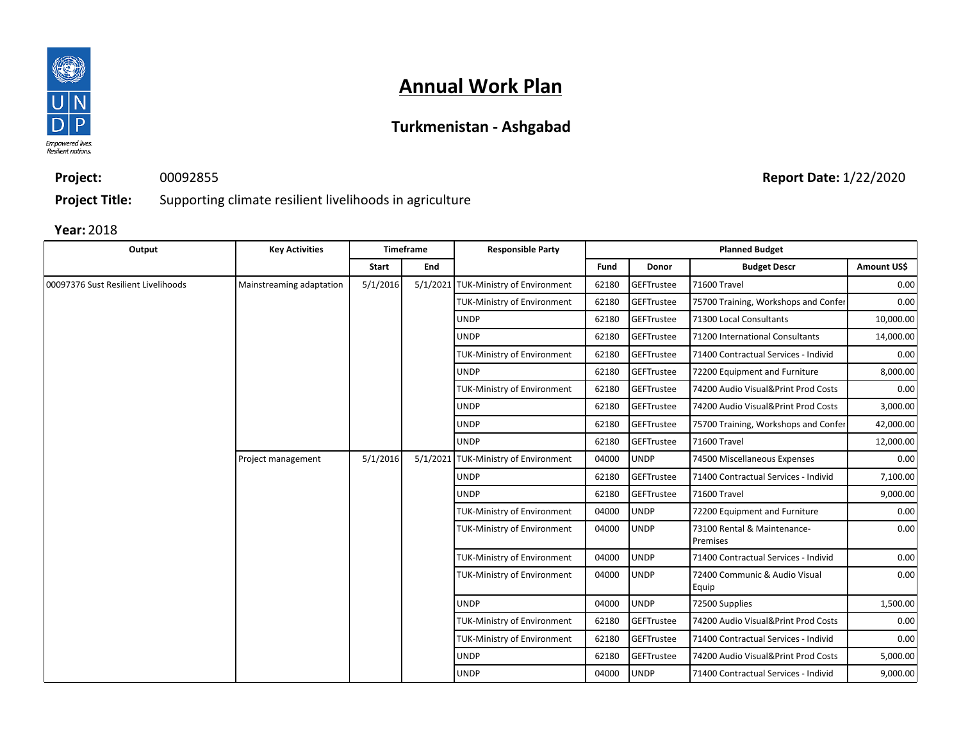

## **Turkmenistan - Ashgabad**

**Project:** 00092855

**Report Date:** 1/22/2020

**Project Title:** Supporting climate resilient livelihoods in agriculture

| Output                              | <b>Key Activities</b>    |              | <b>Timeframe</b> | <b>Responsible Party</b>                                   |                               |             | <b>Planned Budget</b>                   |             |  |  |  |                             |       |             |                                        |      |  |  |  |  |  |  |  |  |  |  |  |  |  |             |       |            |                                     |
|-------------------------------------|--------------------------|--------------|------------------|------------------------------------------------------------|-------------------------------|-------------|-----------------------------------------|-------------|--|--|--|-----------------------------|-------|-------------|----------------------------------------|------|--|--|--|--|--|--|--|--|--|--|--|--|--|-------------|-------|------------|-------------------------------------|
|                                     |                          | <b>Start</b> | End              |                                                            | <b>Fund</b>                   | Donor       | <b>Budget Descr</b>                     | Amount US\$ |  |  |  |                             |       |             |                                        |      |  |  |  |  |  |  |  |  |  |  |  |  |  |             |       |            |                                     |
| 00097376 Sust Resilient Livelihoods | Mainstreaming adaptation | 5/1/2016     |                  | 5/1/2021 TUK-Ministry of Environment                       | 62180                         | GEFTrustee  | 71600 Travel                            | 0.00        |  |  |  |                             |       |             |                                        |      |  |  |  |  |  |  |  |  |  |  |  |  |  |             |       |            |                                     |
|                                     |                          |              |                  | <b>TUK-Ministry of Environment</b>                         | 62180                         | GEFTrustee  | 75700 Training, Workshops and Confer    | 0.00        |  |  |  |                             |       |             |                                        |      |  |  |  |  |  |  |  |  |  |  |  |  |  |             |       |            |                                     |
|                                     |                          |              |                  | <b>UNDP</b>                                                | 62180                         | GEFTrustee  | 71300 Local Consultants                 | 10,000.00   |  |  |  |                             |       |             |                                        |      |  |  |  |  |  |  |  |  |  |  |  |  |  |             |       |            |                                     |
|                                     |                          |              |                  | <b>UNDP</b>                                                | 62180                         | GEFTrustee  | 71200 International Consultants         | 14,000.00   |  |  |  |                             |       |             |                                        |      |  |  |  |  |  |  |  |  |  |  |  |  |  |             |       |            |                                     |
|                                     |                          |              |                  | TUK-Ministry of Environment                                | 62180                         | GEFTrustee  | 71400 Contractual Services - Individ    | 0.00        |  |  |  |                             |       |             |                                        |      |  |  |  |  |  |  |  |  |  |  |  |  |  |             |       |            |                                     |
|                                     |                          |              |                  | <b>UNDP</b>                                                | 62180                         | GEFTrustee  | 72200 Equipment and Furniture           | 8,000.00    |  |  |  |                             |       |             |                                        |      |  |  |  |  |  |  |  |  |  |  |  |  |  |             |       |            |                                     |
|                                     |                          |              |                  | <b>TUK-Ministry of Environment</b>                         | 62180                         | GEFTrustee  | 74200 Audio Visual&Print Prod Costs     | 0.00        |  |  |  |                             |       |             |                                        |      |  |  |  |  |  |  |  |  |  |  |  |  |  |             |       |            |                                     |
|                                     |                          |              |                  | <b>UNDP</b>                                                | 62180                         | GEFTrustee  | 74200 Audio Visual&Print Prod Costs     | 3,000.00    |  |  |  |                             |       |             |                                        |      |  |  |  |  |  |  |  |  |  |  |  |  |  |             |       |            |                                     |
|                                     |                          |              |                  | <b>UNDP</b>                                                | 62180                         | GEFTrustee  | 75700 Training, Workshops and Confer    | 42,000.00   |  |  |  |                             |       |             |                                        |      |  |  |  |  |  |  |  |  |  |  |  |  |  |             |       |            |                                     |
|                                     |                          |              |                  | <b>UNDP</b>                                                | 62180                         | GEFTrustee  | 71600 Travel                            | 12,000.00   |  |  |  |                             |       |             |                                        |      |  |  |  |  |  |  |  |  |  |  |  |  |  |             |       |            |                                     |
|                                     | Project management       | 5/1/2016     |                  | 5/1/2021 TUK-Ministry of Environment                       | 04000                         | <b>UNDP</b> | 74500 Miscellaneous Expenses            | 0.00        |  |  |  |                             |       |             |                                        |      |  |  |  |  |  |  |  |  |  |  |  |  |  |             |       |            |                                     |
|                                     |                          |              |                  | <b>UNDP</b>                                                | 62180                         | GEFTrustee  | 71400 Contractual Services - Individ    | 7,100.00    |  |  |  |                             |       |             |                                        |      |  |  |  |  |  |  |  |  |  |  |  |  |  |             |       |            |                                     |
|                                     |                          |              |                  | <b>UNDP</b>                                                | 62180                         | GEFTrustee  | 71600 Travel                            |             |  |  |  |                             |       |             |                                        |      |  |  |  |  |  |  |  |  |  |  |  |  |  |             |       |            |                                     |
|                                     |                          |              |                  | <b>UNDP</b><br><b>TUK-Ministry of Environment</b><br>04000 | 72200 Equipment and Furniture | 0.00        |                                         |             |  |  |  |                             |       |             |                                        |      |  |  |  |  |  |  |  |  |  |  |  |  |  |             |       |            |                                     |
|                                     |                          |              |                  | TUK-Ministry of Environment                                | 04000                         | <b>UNDP</b> | 73100 Rental & Maintenance-<br>Premises | 0.00        |  |  |  |                             |       |             |                                        |      |  |  |  |  |  |  |  |  |  |  |  |  |  |             |       |            |                                     |
|                                     |                          |              |                  | TUK-Ministry of Environment                                | 04000                         | <b>UNDP</b> | 71400 Contractual Services - Individ    | 0.00        |  |  |  |                             |       |             |                                        |      |  |  |  |  |  |  |  |  |  |  |  |  |  |             |       |            |                                     |
|                                     |                          |              |                  |                                                            |                               |             |                                         |             |  |  |  | TUK-Ministry of Environment | 04000 | <b>UNDP</b> | 72400 Communic & Audio Visual<br>Equip | 0.00 |  |  |  |  |  |  |  |  |  |  |  |  |  |             |       |            |                                     |
|                                     |                          |              |                  | <b>UNDP</b>                                                | 04000                         | <b>UNDP</b> | 72500 Supplies                          | 1,500.00    |  |  |  |                             |       |             |                                        |      |  |  |  |  |  |  |  |  |  |  |  |  |  |             |       |            |                                     |
|                                     |                          |              |                  | TUK-Ministry of Environment                                | 62180                         | GEFTrustee  | 74200 Audio Visual&Print Prod Costs     | 0.00        |  |  |  |                             |       |             |                                        |      |  |  |  |  |  |  |  |  |  |  |  |  |  |             |       |            |                                     |
|                                     |                          |              |                  | <b>TUK-Ministry of Environment</b>                         | 62180                         | GEFTrustee  | 71400 Contractual Services - Individ    | 0.00        |  |  |  |                             |       |             |                                        |      |  |  |  |  |  |  |  |  |  |  |  |  |  |             |       |            |                                     |
|                                     |                          |              |                  |                                                            |                               |             |                                         |             |  |  |  |                             |       |             |                                        |      |  |  |  |  |  |  |  |  |  |  |  |  |  | <b>UNDP</b> | 62180 | GEFTrustee | 74200 Audio Visual&Print Prod Costs |
|                                     |                          |              |                  | <b>UNDP</b>                                                | 04000                         | <b>UNDP</b> | 71400 Contractual Services - Individ    | 9,000.00    |  |  |  |                             |       |             |                                        |      |  |  |  |  |  |  |  |  |  |  |  |  |  |             |       |            |                                     |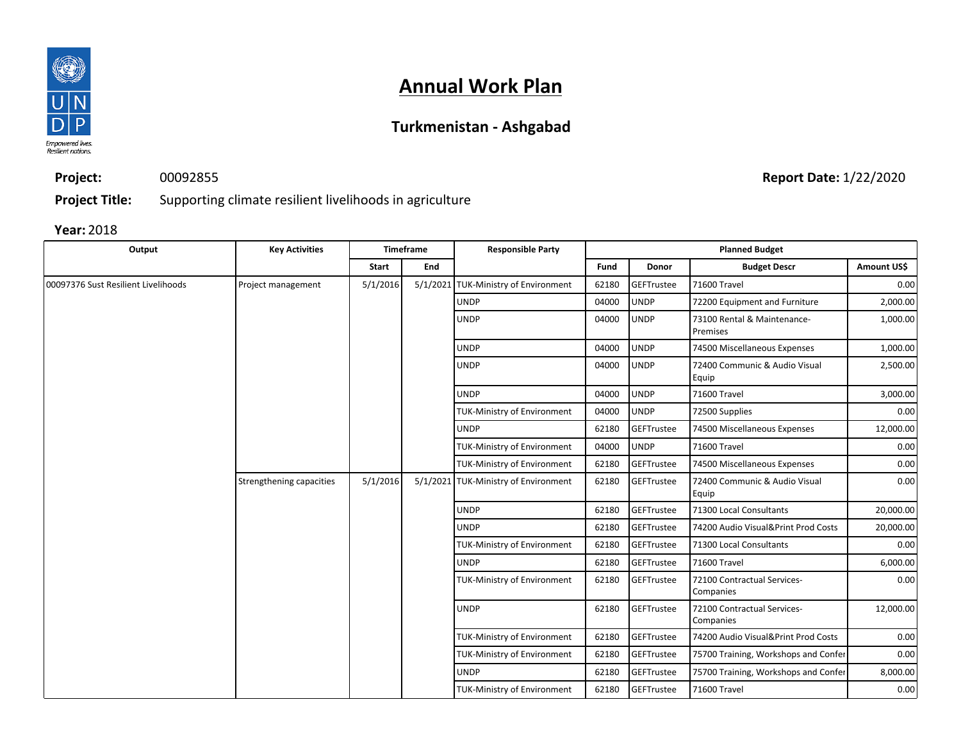

## **Turkmenistan - Ashgabad**

**Project:**

00092855

**Report Date:** 1/22/2020

**Project Title:** Supporting climate resilient livelihoods in agriculture

| Output                              | <b>Key Activities</b>    |              | <b>Timeframe</b> | <b>Responsible Party</b>             |       |                   | <b>Planned Budget</b>                    |                                                                                                                         |  |  |  |  |  |  |  |  |  |  |  |  |  |  |  |             |       |                   |                                      |
|-------------------------------------|--------------------------|--------------|------------------|--------------------------------------|-------|-------------------|------------------------------------------|-------------------------------------------------------------------------------------------------------------------------|--|--|--|--|--|--|--|--|--|--|--|--|--|--|--|-------------|-------|-------------------|--------------------------------------|
|                                     |                          | <b>Start</b> | End              |                                      | Fund  | Donor             | <b>Budget Descr</b>                      | Amount US\$                                                                                                             |  |  |  |  |  |  |  |  |  |  |  |  |  |  |  |             |       |                   |                                      |
| 00097376 Sust Resilient Livelihoods | Project management       | 5/1/2016     |                  | 5/1/2021 TUK-Ministry of Environment | 62180 | GEFTrustee        | 71600 Travel                             | 0.00                                                                                                                    |  |  |  |  |  |  |  |  |  |  |  |  |  |  |  |             |       |                   |                                      |
|                                     |                          |              |                  | <b>UNDP</b>                          | 04000 | <b>UNDP</b>       | 72200 Equipment and Furniture            | 2,000.00                                                                                                                |  |  |  |  |  |  |  |  |  |  |  |  |  |  |  |             |       |                   |                                      |
|                                     |                          |              |                  | <b>UNDP</b>                          | 04000 | <b>UNDP</b>       | 73100 Rental & Maintenance-<br>Premises  | 1,000.00                                                                                                                |  |  |  |  |  |  |  |  |  |  |  |  |  |  |  |             |       |                   |                                      |
|                                     |                          |              |                  | <b>UNDP</b>                          | 04000 | <b>UNDP</b>       | 74500 Miscellaneous Expenses             |                                                                                                                         |  |  |  |  |  |  |  |  |  |  |  |  |  |  |  |             |       |                   |                                      |
|                                     |                          |              |                  | <b>UNDP</b>                          | 04000 | <b>UNDP</b>       | 72400 Communic & Audio Visual<br>Equip   | 2,500.00                                                                                                                |  |  |  |  |  |  |  |  |  |  |  |  |  |  |  |             |       |                   |                                      |
|                                     |                          |              |                  | <b>UNDP</b>                          | 04000 | <b>UNDP</b>       | 71600 Travel                             | 3,000.00                                                                                                                |  |  |  |  |  |  |  |  |  |  |  |  |  |  |  |             |       |                   |                                      |
|                                     |                          |              |                  | <b>TUK-Ministry of Environment</b>   | 04000 | <b>UNDP</b>       | 72500 Supplies                           | 0.00                                                                                                                    |  |  |  |  |  |  |  |  |  |  |  |  |  |  |  |             |       |                   |                                      |
|                                     |                          |              |                  | <b>UNDP</b>                          | 62180 | GEFTrustee        | 74500 Miscellaneous Expenses             | 12,000.00                                                                                                               |  |  |  |  |  |  |  |  |  |  |  |  |  |  |  |             |       |                   |                                      |
|                                     |                          |              |                  | TUK-Ministry of Environment          | 04000 | <b>UNDP</b>       | 71600 Travel                             | 0.00                                                                                                                    |  |  |  |  |  |  |  |  |  |  |  |  |  |  |  |             |       |                   |                                      |
|                                     |                          |              |                  | TUK-Ministry of Environment          | 62180 | <b>GEFTrustee</b> | 74500 Miscellaneous Expenses             | 0.00                                                                                                                    |  |  |  |  |  |  |  |  |  |  |  |  |  |  |  |             |       |                   |                                      |
|                                     | Strengthening capacities | 5/1/2016     |                  | 5/1/2021 TUK-Ministry of Environment | 62180 | GEFTrustee        | 72400 Communic & Audio Visual<br>Equip   | 1,000.00<br>0.00<br>20,000.00<br>20,000.00<br>0.00<br>6,000.00<br>0.00<br>12,000.00<br>0.00<br>0.00<br>8,000.00<br>0.00 |  |  |  |  |  |  |  |  |  |  |  |  |  |  |  |             |       |                   |                                      |
|                                     |                          |              |                  | <b>UNDP</b>                          | 62180 | GEFTrustee        | 71300 Local Consultants                  |                                                                                                                         |  |  |  |  |  |  |  |  |  |  |  |  |  |  |  |             |       |                   |                                      |
|                                     |                          |              |                  | <b>UNDP</b>                          | 62180 | <b>GEFTrustee</b> | 74200 Audio Visual&Print Prod Costs      |                                                                                                                         |  |  |  |  |  |  |  |  |  |  |  |  |  |  |  |             |       |                   |                                      |
|                                     |                          |              |                  | <b>TUK-Ministry of Environment</b>   | 62180 | <b>GEFTrustee</b> | 71300 Local Consultants                  |                                                                                                                         |  |  |  |  |  |  |  |  |  |  |  |  |  |  |  |             |       |                   |                                      |
|                                     |                          |              |                  | <b>UNDP</b>                          | 62180 | GEFTrustee        | 71600 Travel                             |                                                                                                                         |  |  |  |  |  |  |  |  |  |  |  |  |  |  |  |             |       |                   |                                      |
|                                     |                          |              |                  | TUK-Ministry of Environment          | 62180 | <b>GEFTrustee</b> | 72100 Contractual Services-<br>Companies |                                                                                                                         |  |  |  |  |  |  |  |  |  |  |  |  |  |  |  |             |       |                   |                                      |
|                                     |                          |              |                  | <b>UNDP</b>                          | 62180 | GEFTrustee        | 72100 Contractual Services-<br>Companies |                                                                                                                         |  |  |  |  |  |  |  |  |  |  |  |  |  |  |  |             |       |                   |                                      |
|                                     |                          |              |                  | TUK-Ministry of Environment          | 62180 | GEFTrustee        | 74200 Audio Visual&Print Prod Costs      |                                                                                                                         |  |  |  |  |  |  |  |  |  |  |  |  |  |  |  |             |       |                   |                                      |
|                                     |                          |              |                  | <b>TUK-Ministry of Environment</b>   | 62180 | <b>GEFTrustee</b> | 75700 Training, Workshops and Confer     |                                                                                                                         |  |  |  |  |  |  |  |  |  |  |  |  |  |  |  |             |       |                   |                                      |
|                                     |                          |              |                  |                                      |       |                   |                                          |                                                                                                                         |  |  |  |  |  |  |  |  |  |  |  |  |  |  |  | <b>UNDP</b> | 62180 | <b>GEFTrustee</b> | 75700 Training, Workshops and Confer |
|                                     |                          |              |                  | <b>TUK-Ministry of Environment</b>   | 62180 | GEFTrustee        | 71600 Travel                             |                                                                                                                         |  |  |  |  |  |  |  |  |  |  |  |  |  |  |  |             |       |                   |                                      |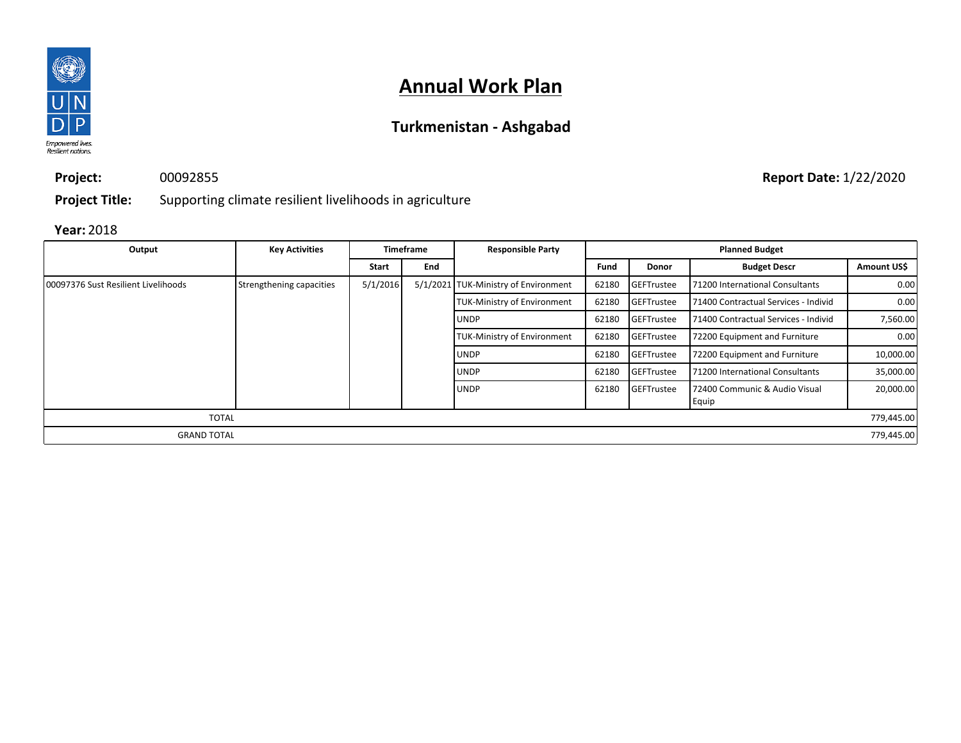

## **Turkmenistan - Ashgabad**

**Project:** 00092855

**Report Date:** 1/22/2020

**Project Title:** Supporting climate resilient livelihoods in agriculture

| Output                              | <b>Key Activities</b>    |              | <b>Timeframe</b> | <b>Responsible Party</b>             |       |                   | <b>Planned Budget</b>                  |             |
|-------------------------------------|--------------------------|--------------|------------------|--------------------------------------|-------|-------------------|----------------------------------------|-------------|
|                                     |                          | <b>Start</b> | End              |                                      | Fund  | Donor             | <b>Budget Descr</b>                    | Amount US\$ |
| 00097376 Sust Resilient Livelihoods | Strengthening capacities | 5/1/2016     |                  | 5/1/2021 TUK-Ministry of Environment | 62180 | <b>GEFTrustee</b> | 71200 International Consultants        | 0.00        |
|                                     |                          |              |                  | <b>TUK-Ministry of Environment</b>   | 62180 | GEFTrustee        | 71400 Contractual Services - Individ   | 0.00        |
|                                     |                          |              |                  | <b>UNDP</b>                          | 62180 | GEFTrustee        | 71400 Contractual Services - Individ   | 7,560.00    |
|                                     |                          |              |                  | <b>TUK-Ministry of Environment</b>   | 62180 | <b>GEFTrustee</b> | 72200 Equipment and Furniture          | 0.00        |
|                                     |                          |              |                  | <b>UNDP</b>                          | 62180 | <b>GEFTrustee</b> | 72200 Equipment and Furniture          | 10,000.00   |
|                                     |                          |              |                  | <b>UNDP</b>                          | 62180 | GEFTrustee        | 71200 International Consultants        | 35,000.00   |
|                                     |                          |              |                  | <b>UNDP</b>                          | 62180 | <b>GEFTrustee</b> | 72400 Communic & Audio Visual<br>Equip | 20,000.00   |
| <b>TOTAL</b>                        |                          |              |                  |                                      |       |                   |                                        | 779,445.00  |
| <b>GRAND TOTAL</b>                  |                          |              |                  |                                      |       |                   |                                        | 779,445.00  |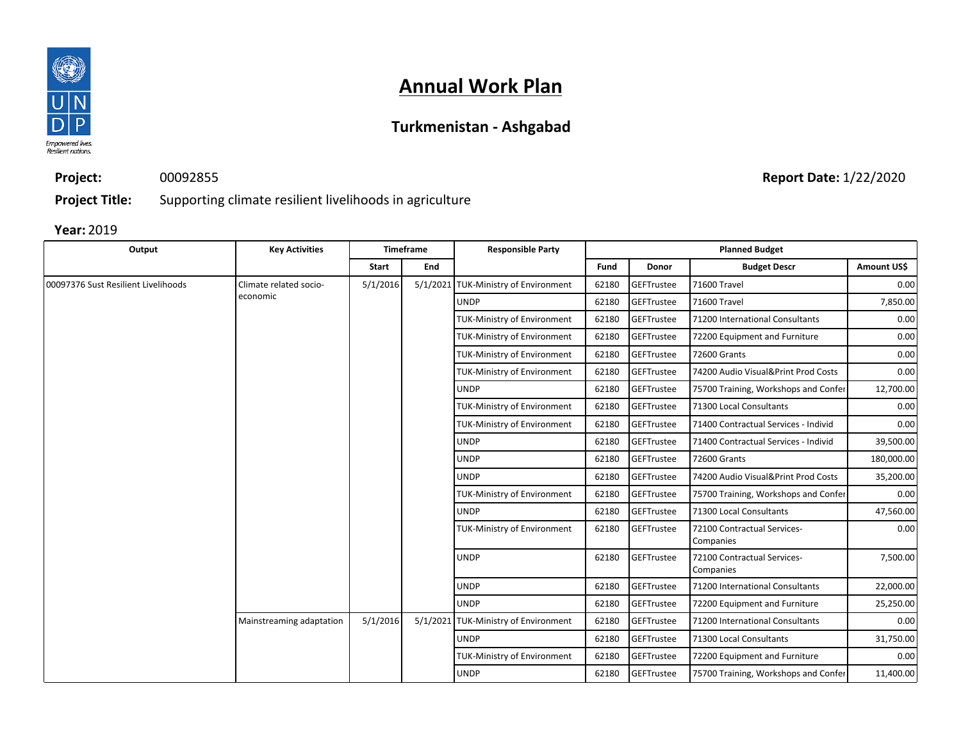

## **Turkmenistan - Ashgabad**

**Project:** 00092855

**Report Date:** 1/22/2020

**Project Title:** Supporting climate resilient livelihoods in agriculture

| Output                              | <b>Key Activities</b>    |              | <b>Timeframe</b> | <b>Responsible Party</b>             |                                    |                                      | <b>Planned Budget</b>                    |                                      |      |  |  |  |  |  |             |       |            |                                 |           |  |             |       |            |                                          |          |            |                               |      |  |  |  |  |  |  |  |             |       |                   |                         |           |
|-------------------------------------|--------------------------|--------------|------------------|--------------------------------------|------------------------------------|--------------------------------------|------------------------------------------|--------------------------------------|------|--|--|--|--|--|-------------|-------|------------|---------------------------------|-----------|--|-------------|-------|------------|------------------------------------------|----------|------------|-------------------------------|------|--|--|--|--|--|--|--|-------------|-------|-------------------|-------------------------|-----------|
|                                     |                          | <b>Start</b> | End              |                                      | Fund                               | Donor                                | <b>Budget Descr</b>                      | Amount US\$                          |      |  |  |  |  |  |             |       |            |                                 |           |  |             |       |            |                                          |          |            |                               |      |  |  |  |  |  |  |  |             |       |                   |                         |           |
| 00097376 Sust Resilient Livelihoods | Climate related socio-   | 5/1/2016     |                  | 5/1/2021 TUK-Ministry of Environment | 62180                              | GEFTrustee                           | 71600 Travel                             | 0.00                                 |      |  |  |  |  |  |             |       |            |                                 |           |  |             |       |            |                                          |          |            |                               |      |  |  |  |  |  |  |  |             |       |                   |                         |           |
|                                     | economic                 |              |                  | <b>UNDP</b>                          | 62180                              | GEFTrustee                           | 71600 Travel                             | 7,850.00                             |      |  |  |  |  |  |             |       |            |                                 |           |  |             |       |            |                                          |          |            |                               |      |  |  |  |  |  |  |  |             |       |                   |                         |           |
|                                     |                          |              |                  | TUK-Ministry of Environment          | 62180                              | GEFTrustee                           | 71200 International Consultants          | 0.00                                 |      |  |  |  |  |  |             |       |            |                                 |           |  |             |       |            |                                          |          |            |                               |      |  |  |  |  |  |  |  |             |       |                   |                         |           |
|                                     |                          |              |                  | TUK-Ministry of Environment          | 62180                              | GEFTrustee                           | 72200 Equipment and Furniture            | 0.00                                 |      |  |  |  |  |  |             |       |            |                                 |           |  |             |       |            |                                          |          |            |                               |      |  |  |  |  |  |  |  |             |       |                   |                         |           |
|                                     |                          |              |                  | <b>TUK-Ministry of Environment</b>   | 62180                              | GEFTrustee                           | 72600 Grants                             | 0.00                                 |      |  |  |  |  |  |             |       |            |                                 |           |  |             |       |            |                                          |          |            |                               |      |  |  |  |  |  |  |  |             |       |                   |                         |           |
|                                     |                          |              |                  | TUK-Ministry of Environment          | 62180                              | GEFTrustee                           | 74200 Audio Visual&Print Prod Costs      | 0.00                                 |      |  |  |  |  |  |             |       |            |                                 |           |  |             |       |            |                                          |          |            |                               |      |  |  |  |  |  |  |  |             |       |                   |                         |           |
|                                     |                          |              |                  | <b>UNDP</b>                          | 62180                              | GEFTrustee                           | 75700 Training, Workshops and Confer     | 12,700.00                            |      |  |  |  |  |  |             |       |            |                                 |           |  |             |       |            |                                          |          |            |                               |      |  |  |  |  |  |  |  |             |       |                   |                         |           |
|                                     |                          |              |                  |                                      | <b>TUK-Ministry of Environment</b> | 62180                                | GEFTrustee                               | 71300 Local Consultants              | 0.00 |  |  |  |  |  |             |       |            |                                 |           |  |             |       |            |                                          |          |            |                               |      |  |  |  |  |  |  |  |             |       |                   |                         |           |
|                                     |                          |              |                  |                                      | TUK-Ministry of Environment        | 62180                                | GEFTrustee                               | 71400 Contractual Services - Individ | 0.00 |  |  |  |  |  |             |       |            |                                 |           |  |             |       |            |                                          |          |            |                               |      |  |  |  |  |  |  |  |             |       |                   |                         |           |
|                                     |                          |              | <b>UNDP</b>      | 62180                                | GEFTrustee                         | 71400 Contractual Services - Individ | 39,500.00                                |                                      |      |  |  |  |  |  |             |       |            |                                 |           |  |             |       |            |                                          |          |            |                               |      |  |  |  |  |  |  |  |             |       |                   |                         |           |
|                                     |                          |              | <b>UNDP</b>      | 62180                                | GEFTrustee                         | 72600 Grants                         | 180,000.00                               |                                      |      |  |  |  |  |  |             |       |            |                                 |           |  |             |       |            |                                          |          |            |                               |      |  |  |  |  |  |  |  |             |       |                   |                         |           |
|                                     |                          |              |                  | <b>UNDP</b>                          | 62180                              | <b>GEFTrustee</b>                    | 74200 Audio Visual&Print Prod Costs      | 35,200.00                            |      |  |  |  |  |  |             |       |            |                                 |           |  |             |       |            |                                          |          |            |                               |      |  |  |  |  |  |  |  |             |       |                   |                         |           |
|                                     |                          |              |                  | <b>TUK-Ministry of Environment</b>   | 62180                              | GEFTrustee                           | 75700 Training, Workshops and Confer     | 0.00                                 |      |  |  |  |  |  |             |       |            |                                 |           |  |             |       |            |                                          |          |            |                               |      |  |  |  |  |  |  |  |             |       |                   |                         |           |
|                                     |                          |              |                  | <b>UNDP</b>                          | 62180                              | GEFTrustee                           | 71300 Local Consultants                  | 47,560.00                            |      |  |  |  |  |  |             |       |            |                                 |           |  |             |       |            |                                          |          |            |                               |      |  |  |  |  |  |  |  |             |       |                   |                         |           |
|                                     |                          |              |                  | <b>TUK-Ministry of Environment</b>   | 62180                              | GEFTrustee                           | 72100 Contractual Services-<br>Companies | 0.00                                 |      |  |  |  |  |  |             |       |            |                                 |           |  |             |       |            |                                          |          |            |                               |      |  |  |  |  |  |  |  |             |       |                   |                         |           |
|                                     |                          |              |                  |                                      |                                    |                                      |                                          |                                      |      |  |  |  |  |  |             |       |            |                                 |           |  | <b>UNDP</b> | 62180 | GEFTrustee | 72100 Contractual Services-<br>Companies | 7,500.00 |            |                               |      |  |  |  |  |  |  |  |             |       |                   |                         |           |
|                                     |                          |              |                  |                                      |                                    |                                      |                                          |                                      |      |  |  |  |  |  | <b>UNDP</b> | 62180 | GEFTrustee | 71200 International Consultants | 22,000.00 |  |             |       |            |                                          |          |            |                               |      |  |  |  |  |  |  |  |             |       |                   |                         |           |
|                                     |                          |              |                  | <b>UNDP</b>                          | 62180                              | GEFTrustee                           | 72200 Equipment and Furniture            | 25,250.00                            |      |  |  |  |  |  |             |       |            |                                 |           |  |             |       |            |                                          |          |            |                               |      |  |  |  |  |  |  |  |             |       |                   |                         |           |
|                                     | Mainstreaming adaptation | 5/1/2016     |                  | 5/1/2021 TUK-Ministry of Environment | 62180                              | GEFTrustee                           | 71200 International Consultants          | 0.00                                 |      |  |  |  |  |  |             |       |            |                                 |           |  |             |       |            |                                          |          |            |                               |      |  |  |  |  |  |  |  |             |       |                   |                         |           |
|                                     |                          |              |                  |                                      |                                    |                                      |                                          |                                      |      |  |  |  |  |  |             |       |            |                                 |           |  |             |       |            |                                          |          |            |                               |      |  |  |  |  |  |  |  | <b>UNDP</b> | 62180 | <b>GEFTrustee</b> | 71300 Local Consultants | 31,750.00 |
|                                     |                          |              |                  |                                      |                                    |                                      |                                          |                                      |      |  |  |  |  |  |             |       |            |                                 |           |  |             |       |            | TUK-Ministry of Environment              | 62180    | GEFTrustee | 72200 Equipment and Furniture | 0.00 |  |  |  |  |  |  |  |             |       |                   |                         |           |
|                                     |                          |              |                  | <b>UNDP</b>                          | 62180                              | GEFTrustee                           | 75700 Training, Workshops and Confer     | 11,400.00                            |      |  |  |  |  |  |             |       |            |                                 |           |  |             |       |            |                                          |          |            |                               |      |  |  |  |  |  |  |  |             |       |                   |                         |           |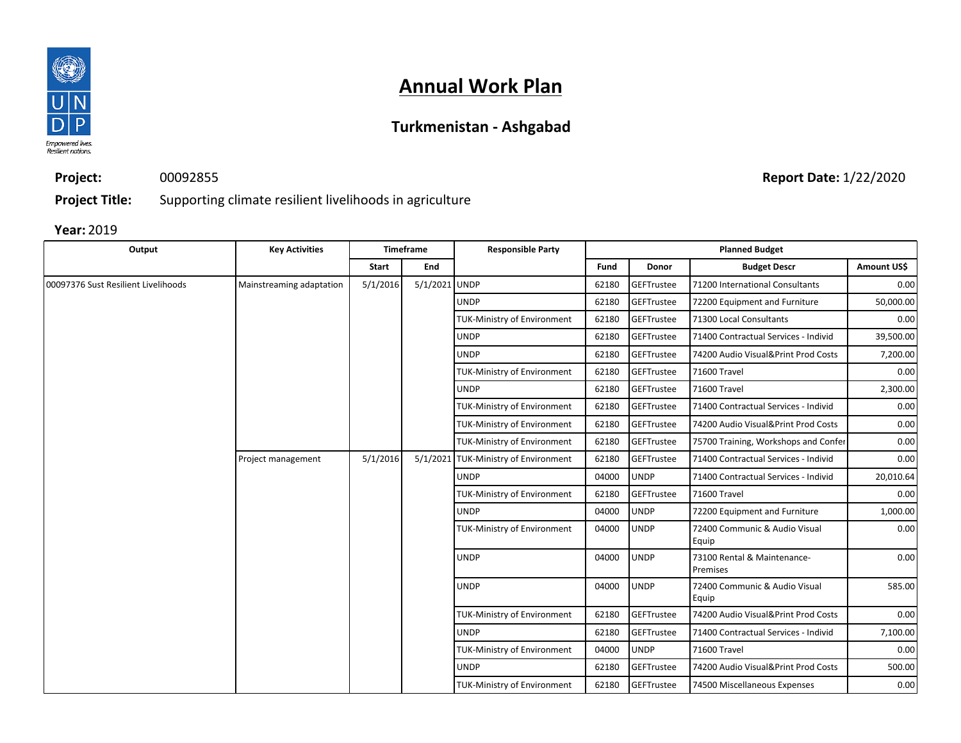

## **Turkmenistan - Ashgabad**

**Project:** 00092855 **Report Date:** 1/22/2020

**Project Title:** Supporting climate resilient livelihoods in agriculture

| Output                              | <b>Key Activities</b>    |          | <b>Timeframe</b> | <b>Responsible Party</b>             |                               |             | <b>Planned Budget</b>                   |                   |  |  |  |  |  |  |  |  |  |  |  |  |  |  |  |  |  |  |  |  |  |  |  |  |             |       |            |                                     |        |  |  |                                    |       |             |              |      |
|-------------------------------------|--------------------------|----------|------------------|--------------------------------------|-------------------------------|-------------|-----------------------------------------|-------------------|--|--|--|--|--|--|--|--|--|--|--|--|--|--|--|--|--|--|--|--|--|--|--|--|-------------|-------|------------|-------------------------------------|--------|--|--|------------------------------------|-------|-------------|--------------|------|
|                                     |                          | Start    | End              |                                      | Fund                          | Donor       | <b>Budget Descr</b>                     | Amount US\$       |  |  |  |  |  |  |  |  |  |  |  |  |  |  |  |  |  |  |  |  |  |  |  |  |             |       |            |                                     |        |  |  |                                    |       |             |              |      |
| 00097376 Sust Resilient Livelihoods | Mainstreaming adaptation | 5/1/2016 | 5/1/2021 UNDP    |                                      | 62180                         | GEFTrustee  | 71200 International Consultants         | 0.00              |  |  |  |  |  |  |  |  |  |  |  |  |  |  |  |  |  |  |  |  |  |  |  |  |             |       |            |                                     |        |  |  |                                    |       |             |              |      |
|                                     |                          |          |                  | <b>UNDP</b>                          | 62180                         | GEFTrustee  | 72200 Equipment and Furniture           | 50,000.00         |  |  |  |  |  |  |  |  |  |  |  |  |  |  |  |  |  |  |  |  |  |  |  |  |             |       |            |                                     |        |  |  |                                    |       |             |              |      |
|                                     |                          |          |                  | <b>TUK-Ministry of Environment</b>   | 62180                         | GEFTrustee  | 71300 Local Consultants                 | 0.00              |  |  |  |  |  |  |  |  |  |  |  |  |  |  |  |  |  |  |  |  |  |  |  |  |             |       |            |                                     |        |  |  |                                    |       |             |              |      |
|                                     |                          |          |                  | <b>UNDP</b>                          | 62180                         | GEFTrustee  | 71400 Contractual Services - Individ    | 39,500.00<br>0.00 |  |  |  |  |  |  |  |  |  |  |  |  |  |  |  |  |  |  |  |  |  |  |  |  |             |       |            |                                     |        |  |  |                                    |       |             |              |      |
|                                     |                          |          |                  | <b>UNDP</b>                          | 62180                         | GEFTrustee  | 74200 Audio Visual&Print Prod Costs     | 7,200.00          |  |  |  |  |  |  |  |  |  |  |  |  |  |  |  |  |  |  |  |  |  |  |  |  |             |       |            |                                     |        |  |  |                                    |       |             |              |      |
|                                     |                          |          |                  | TUK-Ministry of Environment          | 62180                         | GEFTrustee  | 71600 Travel                            | 0.00              |  |  |  |  |  |  |  |  |  |  |  |  |  |  |  |  |  |  |  |  |  |  |  |  |             |       |            |                                     |        |  |  |                                    |       |             |              |      |
|                                     |                          |          |                  | <b>UNDP</b>                          | 62180                         | GEFTrustee  | 71600 Travel                            | 2,300.00          |  |  |  |  |  |  |  |  |  |  |  |  |  |  |  |  |  |  |  |  |  |  |  |  |             |       |            |                                     |        |  |  |                                    |       |             |              |      |
|                                     |                          |          |                  | <b>TUK-Ministry of Environment</b>   | 62180                         | GEFTrustee  | 71400 Contractual Services - Individ    | 0.00              |  |  |  |  |  |  |  |  |  |  |  |  |  |  |  |  |  |  |  |  |  |  |  |  |             |       |            |                                     |        |  |  |                                    |       |             |              |      |
|                                     |                          |          |                  | <b>TUK-Ministry of Environment</b>   | 62180                         | GEFTrustee  | 74200 Audio Visual&Print Prod Costs     | 0.00              |  |  |  |  |  |  |  |  |  |  |  |  |  |  |  |  |  |  |  |  |  |  |  |  |             |       |            |                                     |        |  |  |                                    |       |             |              |      |
|                                     |                          |          |                  | <b>TUK-Ministry of Environment</b>   | 62180                         | GEFTrustee  | 75700 Training, Workshops and Confer    | 0.00              |  |  |  |  |  |  |  |  |  |  |  |  |  |  |  |  |  |  |  |  |  |  |  |  |             |       |            |                                     |        |  |  |                                    |       |             |              |      |
|                                     | Project management       | 5/1/2016 |                  | 5/1/2021 TUK-Ministry of Environment | 62180                         | GEFTrustee  | 71400 Contractual Services - Individ    | 0.00              |  |  |  |  |  |  |  |  |  |  |  |  |  |  |  |  |  |  |  |  |  |  |  |  |             |       |            |                                     |        |  |  |                                    |       |             |              |      |
|                                     |                          |          |                  | <b>UNDP</b>                          | 04000                         | <b>UNDP</b> | 71400 Contractual Services - Individ    | 20,010.64         |  |  |  |  |  |  |  |  |  |  |  |  |  |  |  |  |  |  |  |  |  |  |  |  |             |       |            |                                     |        |  |  |                                    |       |             |              |      |
|                                     |                          |          |                  | <b>TUK-Ministry of Environment</b>   | 62180                         | GEFTrustee  | 71600 Travel                            |                   |  |  |  |  |  |  |  |  |  |  |  |  |  |  |  |  |  |  |  |  |  |  |  |  |             |       |            |                                     |        |  |  |                                    |       |             |              |      |
|                                     |                          |          |                  | <b>UNDP</b><br><b>UNDP</b><br>04000  | 72200 Equipment and Furniture | 1,000.00    |                                         |                   |  |  |  |  |  |  |  |  |  |  |  |  |  |  |  |  |  |  |  |  |  |  |  |  |             |       |            |                                     |        |  |  |                                    |       |             |              |      |
|                                     |                          |          |                  | <b>TUK-Ministry of Environment</b>   | <b>UNDP</b><br>04000<br>Equip |             | 72400 Communic & Audio Visual           | 0.00              |  |  |  |  |  |  |  |  |  |  |  |  |  |  |  |  |  |  |  |  |  |  |  |  |             |       |            |                                     |        |  |  |                                    |       |             |              |      |
|                                     |                          |          |                  | <b>UNDP</b>                          | 04000                         | <b>UNDP</b> | 73100 Rental & Maintenance-<br>Premises | 0.00              |  |  |  |  |  |  |  |  |  |  |  |  |  |  |  |  |  |  |  |  |  |  |  |  |             |       |            |                                     |        |  |  |                                    |       |             |              |      |
|                                     |                          |          |                  | <b>UNDP</b>                          | 04000                         | <b>UNDP</b> | 72400 Communic & Audio Visual<br>Equip  | 585.00            |  |  |  |  |  |  |  |  |  |  |  |  |  |  |  |  |  |  |  |  |  |  |  |  |             |       |            |                                     |        |  |  |                                    |       |             |              |      |
|                                     |                          |          |                  | <b>TUK-Ministry of Environment</b>   | 62180                         | GEFTrustee  | 74200 Audio Visual&Print Prod Costs     | 0.00              |  |  |  |  |  |  |  |  |  |  |  |  |  |  |  |  |  |  |  |  |  |  |  |  |             |       |            |                                     |        |  |  |                                    |       |             |              |      |
|                                     |                          |          |                  | <b>UNDP</b>                          | 62180                         | GEFTrustee  | 71400 Contractual Services - Individ    | 7,100.00          |  |  |  |  |  |  |  |  |  |  |  |  |  |  |  |  |  |  |  |  |  |  |  |  |             |       |            |                                     |        |  |  |                                    |       |             |              |      |
|                                     |                          |          |                  |                                      |                               |             |                                         |                   |  |  |  |  |  |  |  |  |  |  |  |  |  |  |  |  |  |  |  |  |  |  |  |  |             |       |            |                                     |        |  |  | <b>TUK-Ministry of Environment</b> | 04000 | <b>UNDP</b> | 71600 Travel | 0.00 |
|                                     |                          |          |                  |                                      |                               |             |                                         |                   |  |  |  |  |  |  |  |  |  |  |  |  |  |  |  |  |  |  |  |  |  |  |  |  | <b>UNDP</b> | 62180 | GEFTrustee | 74200 Audio Visual&Print Prod Costs | 500.00 |  |  |                                    |       |             |              |      |
|                                     |                          |          |                  | <b>TUK-Ministry of Environment</b>   | 62180                         | GEFTrustee  | 74500 Miscellaneous Expenses            | 0.00              |  |  |  |  |  |  |  |  |  |  |  |  |  |  |  |  |  |  |  |  |  |  |  |  |             |       |            |                                     |        |  |  |                                    |       |             |              |      |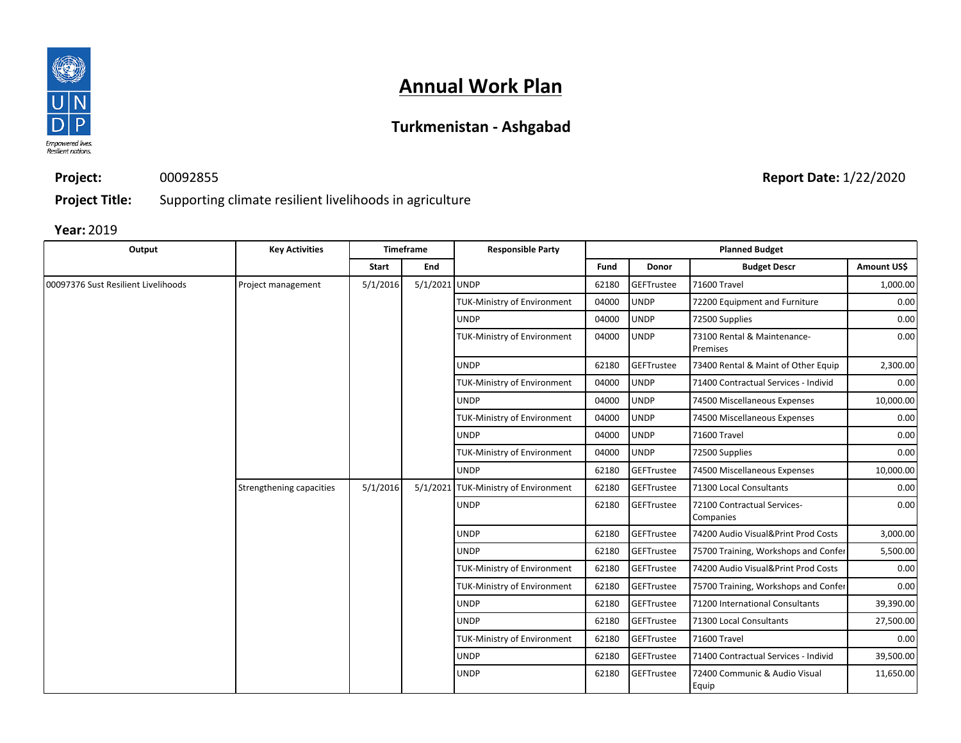

## **Turkmenistan - Ashgabad**

**Project:** 00092855

**Report Date:** 1/22/2020

**Project Title:** Supporting climate resilient livelihoods in agriculture

| Output                              | <b>Key Activities</b>    |              | <b>Timeframe</b>                   | <b>Responsible Party</b>                                                                      |             |                | <b>Planned Budget</b>                    |             |
|-------------------------------------|--------------------------|--------------|------------------------------------|-----------------------------------------------------------------------------------------------|-------------|----------------|------------------------------------------|-------------|
|                                     |                          | <b>Start</b> | End                                |                                                                                               | Fund        | <b>Donor</b>   | <b>Budget Descr</b>                      | Amount US\$ |
| 00097376 Sust Resilient Livelihoods | Project management       | 5/1/2016     | 5/1/2021 UNDP                      |                                                                                               | 62180       | GEFTrustee     | 71600 Travel                             | 1,000.00    |
|                                     |                          |              |                                    | <b>TUK-Ministry of Environment</b>                                                            | 04000       | <b>UNDP</b>    | 72200 Equipment and Furniture            | 0.00        |
|                                     |                          |              |                                    | <b>UNDP</b>                                                                                   | 04000       | <b>UNDP</b>    | 72500 Supplies                           | 0.00        |
|                                     |                          |              |                                    | <b>TUK-Ministry of Environment</b>                                                            | 04000       | <b>UNDP</b>    | 73100 Rental & Maintenance-<br>Premises  | 0.00        |
|                                     |                          |              |                                    | <b>UNDP</b>                                                                                   | 62180       | GEFTrustee     | 73400 Rental & Maint of Other Equip      | 2,300.00    |
|                                     |                          |              |                                    | <b>TUK-Ministry of Environment</b>                                                            | 04000       | <b>UNDP</b>    | 71400 Contractual Services - Individ     | 0.00        |
|                                     |                          |              |                                    | <b>UNDP</b>                                                                                   | 04000       | <b>UNDP</b>    | 74500 Miscellaneous Expenses             | 10,000.00   |
|                                     |                          |              |                                    | <b>TUK-Ministry of Environment</b>                                                            | 04000       | <b>UNDP</b>    | 74500 Miscellaneous Expenses             | 0.00        |
|                                     |                          |              |                                    | <b>UNDP</b>                                                                                   | 04000       | <b>UNDP</b>    | 71600 Travel                             | 0.00        |
|                                     |                          |              | <b>TUK-Ministry of Environment</b> | 04000                                                                                         | <b>UNDP</b> | 72500 Supplies | 0.00                                     |             |
|                                     |                          |              |                                    | <b>UNDP</b>                                                                                   | 62180       | GEFTrustee     | 74500 Miscellaneous Expenses             | 10,000.00   |
|                                     | Strengthening capacities | 5/1/2016     |                                    | <b>GEFTrustee</b><br>71300 Local Consultants<br>5/1/2021 TUK-Ministry of Environment<br>62180 |             | 0.00           |                                          |             |
|                                     |                          |              |                                    | <b>UNDP</b>                                                                                   | 62180       | GEFTrustee     | 72100 Contractual Services-<br>Companies | 0.00        |
|                                     |                          |              |                                    | <b>UNDP</b>                                                                                   | 62180       | GEFTrustee     | 74200 Audio Visual&Print Prod Costs      | 3,000.00    |
|                                     |                          |              |                                    | <b>UNDP</b>                                                                                   | 62180       | GEFTrustee     | 75700 Training, Workshops and Confer     | 5,500.00    |
|                                     |                          |              |                                    | <b>TUK-Ministry of Environment</b>                                                            | 62180       | GEFTrustee     | 74200 Audio Visual&Print Prod Costs      | 0.00        |
|                                     |                          |              |                                    | TUK-Ministry of Environment                                                                   | 62180       | GEFTrustee     | 75700 Training, Workshops and Confer     | 0.00        |
|                                     |                          |              |                                    | <b>UNDP</b>                                                                                   | 62180       | GEFTrustee     | 71200 International Consultants          | 39,390.00   |
|                                     |                          |              |                                    | <b>UNDP</b>                                                                                   | 62180       | GEFTrustee     | 71300 Local Consultants                  | 27,500.00   |
|                                     |                          |              |                                    | <b>TUK-Ministry of Environment</b>                                                            | 62180       | GEFTrustee     | 71600 Travel                             | 0.00        |
|                                     |                          |              |                                    | <b>UNDP</b>                                                                                   | 62180       | GEFTrustee     | 71400 Contractual Services - Individ     | 39,500.00   |
|                                     |                          |              |                                    | <b>UNDP</b>                                                                                   | 62180       | GEFTrustee     | 72400 Communic & Audio Visual<br>Equip   | 11,650.00   |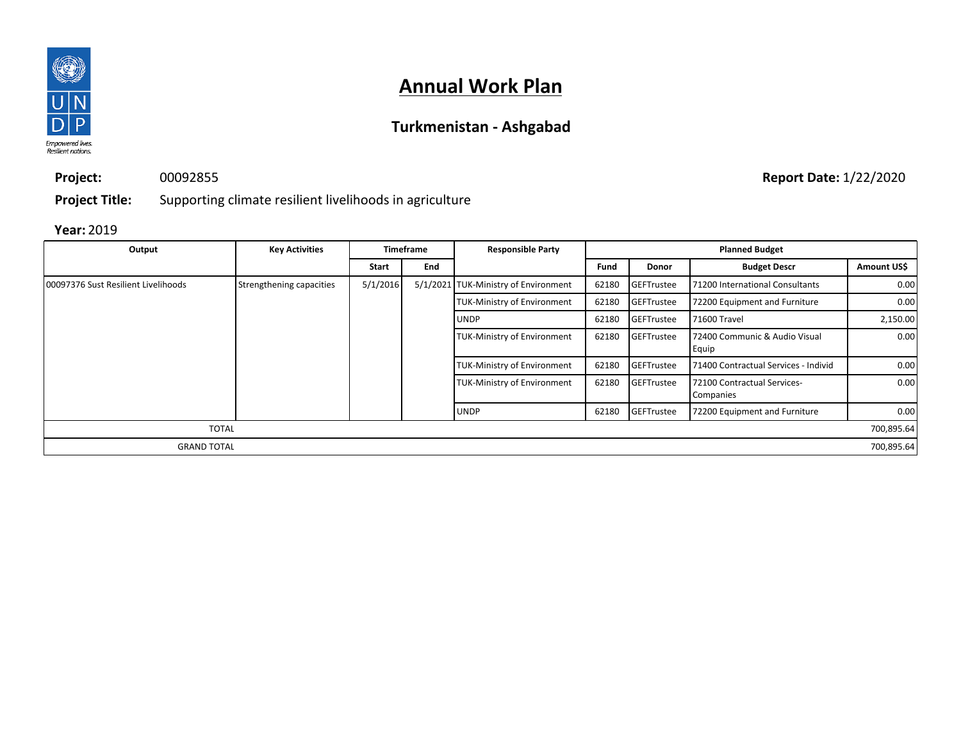

## **Turkmenistan - Ashgabad**

00092855

**Report Date:** 1/22/2020

**Project Title:** Supporting climate resilient livelihoods in agriculture

#### **Year:** 2019

**Project:**

| Output                              | <b>Key Activities</b>    | <b>Timeframe</b> |     | <b>Responsible Party</b>             | <b>Planned Budget</b> |                   |                                          |             |
|-------------------------------------|--------------------------|------------------|-----|--------------------------------------|-----------------------|-------------------|------------------------------------------|-------------|
|                                     |                          | Start            | End |                                      | Fund                  | <b>Donor</b>      | <b>Budget Descr</b>                      | Amount US\$ |
| 00097376 Sust Resilient Livelihoods | Strengthening capacities | 5/1/2016         |     | 5/1/2021 TUK-Ministry of Environment | 62180                 | <b>GEFTrustee</b> | 71200 International Consultants          | 0.00        |
|                                     |                          |                  |     | <b>TUK-Ministry of Environment</b>   | 62180                 | GEFTrustee        | 72200 Equipment and Furniture            | 0.00        |
|                                     |                          |                  |     | <b>UNDP</b>                          | 62180                 | <b>GEFTrustee</b> | 71600 Travel                             | 2,150.00    |
|                                     |                          |                  |     | <b>TUK-Ministry of Environment</b>   | 62180                 | GEFTrustee        | 72400 Communic & Audio Visual<br>Equip   | 0.00        |
|                                     |                          |                  |     | <b>TUK-Ministry of Environment</b>   | 62180                 | GEFTrustee        | 71400 Contractual Services - Individ     | 0.00        |
|                                     |                          |                  |     | <b>TUK-Ministry of Environment</b>   | 62180                 | <b>GEFTrustee</b> | 72100 Contractual Services-<br>Companies | 0.00        |
|                                     |                          |                  |     | <b>UNDP</b>                          | 62180                 | GEFTrustee        | 72200 Equipment and Furniture            | 0.00        |
| <b>TOTAL</b>                        |                          |                  |     |                                      |                       |                   |                                          | 700,895.64  |
| <b>GRAND TOTAL</b>                  |                          |                  |     |                                      |                       |                   |                                          | 700,895.64  |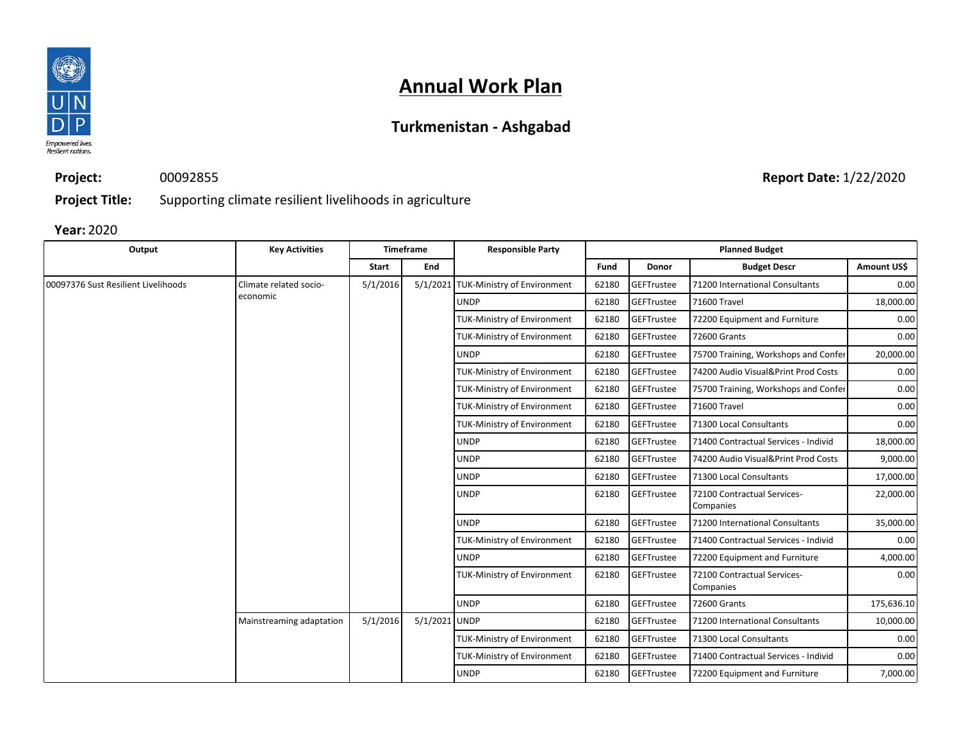

## **Turkmenistan - Ashgabad**

**Project:** 00092855

**Report Date:** 1/22/2020

**Project Title:** Supporting climate resilient livelihoods in agriculture

| Output                              | <b>Key Activities</b>    |          | Timeframe     | <b>Responsible Party</b>             |                                    | <b>Planned Budget</b> |                                      |                                          |            |                                      |      |
|-------------------------------------|--------------------------|----------|---------------|--------------------------------------|------------------------------------|-----------------------|--------------------------------------|------------------------------------------|------------|--------------------------------------|------|
|                                     |                          | Start    | End           |                                      | Fund                               | Donor                 | <b>Budget Descr</b>                  | Amount US\$                              |            |                                      |      |
| 00097376 Sust Resilient Livelihoods | Climate related socio-   | 5/1/2016 |               | 5/1/2021 TUK-Ministry of Environment | 62180                              | GEFTrustee            | 71200 International Consultants      | 0.00                                     |            |                                      |      |
|                                     | economic                 |          |               | <b>UNDP</b>                          | 62180                              | GEFTrustee            | 71600 Travel                         | 18,000.00                                |            |                                      |      |
|                                     |                          |          |               | <b>TUK-Ministry of Environment</b>   | 62180                              | GEFTrustee            | 72200 Equipment and Furniture        | 0.00                                     |            |                                      |      |
|                                     |                          |          |               | TUK-Ministry of Environment          | 62180                              | GEFTrustee            | 72600 Grants                         | 0.00                                     |            |                                      |      |
|                                     |                          |          |               | <b>UNDP</b>                          | 62180                              | GEFTrustee            | 75700 Training, Workshops and Confer | 20,000.00                                |            |                                      |      |
|                                     |                          |          |               | <b>TUK-Ministry of Environment</b>   | 62180                              | GEFTrustee            | 74200 Audio Visual&Print Prod Costs  | 0.00                                     |            |                                      |      |
|                                     |                          |          |               | <b>TUK-Ministry of Environment</b>   | 62180                              | GEFTrustee            | 75700 Training, Workshops and Confer | 0.00                                     |            |                                      |      |
|                                     |                          |          |               | <b>TUK-Ministry of Environment</b>   | 62180                              | GEFTrustee            | 71600 Travel                         | 0.00                                     |            |                                      |      |
|                                     |                          |          |               | <b>TUK-Ministry of Environment</b>   | 62180                              | GEFTrustee            | 71300 Local Consultants              | 0.00                                     |            |                                      |      |
|                                     |                          |          |               | <b>UNDP</b>                          | 62180                              | GEFTrustee            | 71400 Contractual Services - Individ | 18,000.00                                |            |                                      |      |
|                                     |                          |          |               | <b>UNDP</b>                          | 62180                              | GEFTrustee            | 74200 Audio Visual&Print Prod Costs  | 9,000.00                                 |            |                                      |      |
|                                     |                          |          |               | <b>UNDP</b>                          | 62180                              | <b>GEFTrustee</b>     | 71300 Local Consultants              | 17,000.00                                |            |                                      |      |
|                                     |                          |          |               |                                      | <b>UNDP</b>                        | 62180                 | GEFTrustee                           | 72100 Contractual Services-<br>Companies | 22,000.00  |                                      |      |
|                                     |                          |          |               | <b>UNDP</b>                          | 62180                              | GEFTrustee            | 71200 International Consultants      | 35,000.00                                |            |                                      |      |
|                                     |                          |          |               | <b>TUK-Ministry of Environment</b>   | 62180                              | GEFTrustee            | 71400 Contractual Services - Individ | 0.00                                     |            |                                      |      |
|                                     |                          |          |               | <b>UNDP</b>                          | 62180                              | GEFTrustee            | 72200 Equipment and Furniture        | 4,000.00                                 |            |                                      |      |
|                                     |                          |          |               |                                      | <b>TUK-Ministry of Environment</b> | 62180                 | GEFTrustee                           | 72100 Contractual Services-<br>Companies | 0.00       |                                      |      |
|                                     |                          |          |               | <b>UNDP</b>                          | 62180                              | GEFTrustee            | 72600 Grants                         | 175,636.10                               |            |                                      |      |
|                                     | Mainstreaming adaptation | 5/1/2016 | 5/1/2021 UNDP |                                      | 62180                              | GEFTrustee            | 71200 International Consultants      | 10,000.00                                |            |                                      |      |
|                                     |                          |          |               | <b>TUK-Ministry of Environment</b>   | 62180                              | GEFTrustee            | 71300 Local Consultants              | 0.00                                     |            |                                      |      |
|                                     |                          |          |               |                                      |                                    |                       | <b>TUK-Ministry of Environment</b>   | 62180                                    | GEFTrustee | 71400 Contractual Services - Individ | 0.00 |
|                                     |                          |          |               | <b>UNDP</b>                          | 62180                              | GEFTrustee            | 72200 Equipment and Furniture        | 7,000.00                                 |            |                                      |      |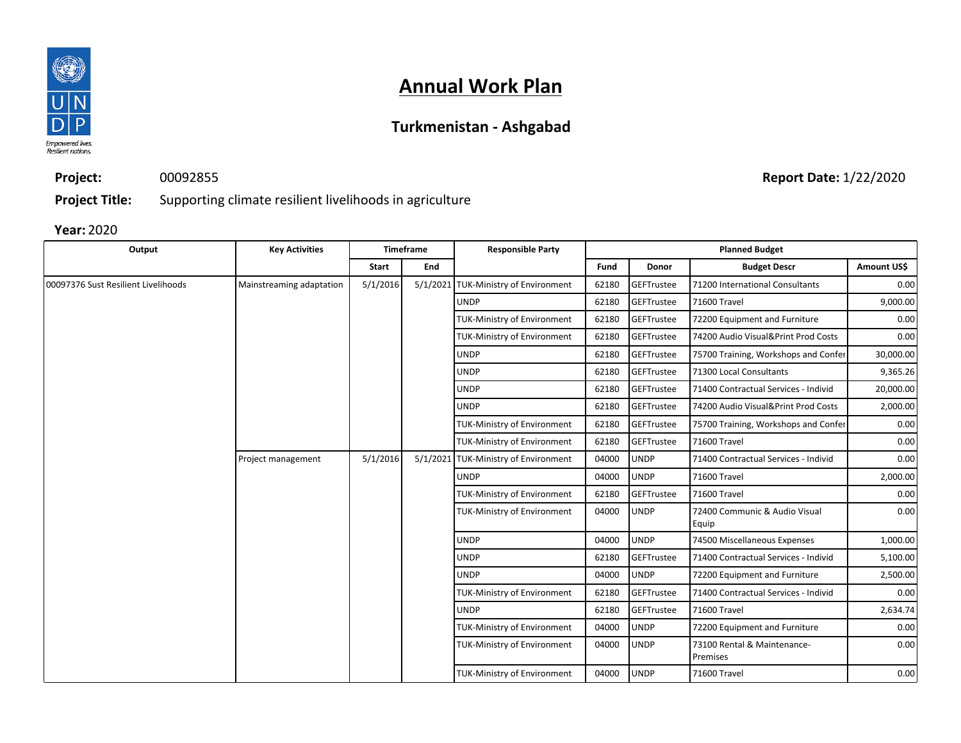

## **Turkmenistan - Ashgabad**

**Project:** 00092855

**Report Date:** 1/22/2020

**Project Title:** Supporting climate resilient livelihoods in agriculture

| Output                              | <b>Key Activities</b>    | <b>Timeframe</b> |     | <b>Responsible Party</b>             | <b>Planned Budget</b> |              |                                         |                   |  |
|-------------------------------------|--------------------------|------------------|-----|--------------------------------------|-----------------------|--------------|-----------------------------------------|-------------------|--|
|                                     |                          | <b>Start</b>     | End |                                      | Fund                  | <b>Donor</b> | <b>Budget Descr</b>                     | <b>Amount USS</b> |  |
| 00097376 Sust Resilient Livelihoods | Mainstreaming adaptation | 5/1/2016         |     | 5/1/2021 TUK-Ministry of Environment | 62180                 | GEFTrustee   | 71200 International Consultants         | 0.00              |  |
|                                     |                          |                  |     | <b>UNDP</b>                          | 62180                 | GEFTrustee   | 71600 Travel                            | 9,000.00          |  |
|                                     |                          |                  |     | <b>TUK-Ministry of Environment</b>   | 62180                 | GEFTrustee   | 72200 Equipment and Furniture           | 0.00              |  |
|                                     |                          |                  |     | <b>TUK-Ministry of Environment</b>   | 62180                 | GEFTrustee   | 74200 Audio Visual&Print Prod Costs     | 0.00              |  |
|                                     |                          |                  |     | <b>UNDP</b>                          | 62180                 | GEFTrustee   | 75700 Training, Workshops and Confer    | 30,000.00         |  |
|                                     |                          |                  |     | <b>UNDP</b>                          | 62180                 | GEFTrustee   | 71300 Local Consultants                 | 9,365.26          |  |
|                                     |                          |                  |     | <b>UNDP</b>                          | 62180                 | GEFTrustee   | 71400 Contractual Services - Individ    | 20,000.00         |  |
|                                     |                          |                  |     | <b>UNDP</b>                          | 62180                 | GEFTrustee   | 74200 Audio Visual&Print Prod Costs     | 2,000.00          |  |
|                                     |                          |                  |     | <b>TUK-Ministry of Environment</b>   | 62180                 | GEFTrustee   | 75700 Training, Workshops and Confer    | 0.00              |  |
|                                     |                          |                  |     | TUK-Ministry of Environment          | 62180                 | GEFTrustee   | 71600 Travel                            | 0.00              |  |
|                                     | Project management       | 5/1/2016         |     | 5/1/2021 TUK-Ministry of Environment | 04000                 | <b>UNDP</b>  | 71400 Contractual Services - Individ    | 0.00              |  |
|                                     |                          |                  |     | <b>UNDP</b>                          | 04000                 | <b>UNDP</b>  | 71600 Travel                            | 2,000.00          |  |
|                                     |                          |                  |     | TUK-Ministry of Environment          | 62180                 | GEFTrustee   | 71600 Travel                            | 0.00              |  |
|                                     |                          |                  |     | <b>TUK-Ministry of Environment</b>   | 04000                 | <b>UNDP</b>  | 72400 Communic & Audio Visual<br>Equip  | 0.00              |  |
|                                     |                          |                  |     | <b>UNDP</b>                          | 04000                 | <b>UNDP</b>  | 74500 Miscellaneous Expenses            | 1,000.00          |  |
|                                     |                          |                  |     | <b>UNDP</b>                          | 62180                 | GEFTrustee   | 71400 Contractual Services - Individ    | 5,100.00          |  |
|                                     |                          |                  |     | <b>UNDP</b>                          | 04000                 | <b>UNDP</b>  | 72200 Equipment and Furniture           | 2,500.00          |  |
|                                     |                          |                  |     | <b>TUK-Ministry of Environment</b>   | 62180                 | GEFTrustee   | 71400 Contractual Services - Individ    | 0.00              |  |
|                                     |                          |                  |     | <b>UNDP</b>                          | 62180                 | GEFTrustee   | 71600 Travel                            | 2,634.74          |  |
|                                     |                          |                  |     | <b>TUK-Ministry of Environment</b>   | 04000                 | <b>UNDP</b>  | 72200 Equipment and Furniture           | 0.00              |  |
|                                     |                          |                  |     | <b>TUK-Ministry of Environment</b>   | 04000                 | <b>UNDP</b>  | 73100 Rental & Maintenance-<br>Premises | 0.00              |  |
|                                     |                          |                  |     | <b>TUK-Ministry of Environment</b>   | 04000                 | <b>UNDP</b>  | 71600 Travel                            | 0.00              |  |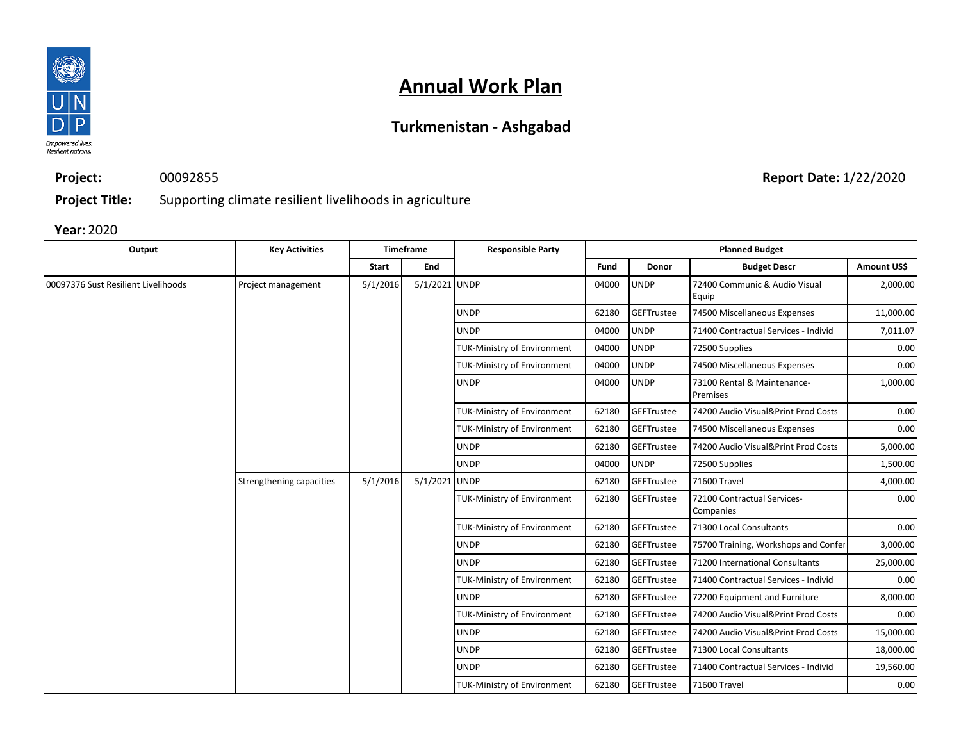

## **Turkmenistan - Ashgabad**

**Project:** 00092855

**Project Title:** Supporting climate resilient livelihoods in agriculture

**Year:** 2020

| Output                              | <b>Key Activities</b>    |          | <b>Timeframe</b> | <b>Responsible Party</b>           | <b>Planned Budget</b> |              |                                          |             |            |                                      |           |
|-------------------------------------|--------------------------|----------|------------------|------------------------------------|-----------------------|--------------|------------------------------------------|-------------|------------|--------------------------------------|-----------|
|                                     |                          | Start    | End              |                                    | Fund                  | <b>Donor</b> | <b>Budget Descr</b>                      | Amount US\$ |            |                                      |           |
| 00097376 Sust Resilient Livelihoods | Project management       | 5/1/2016 | 5/1/2021 UNDP    |                                    | 04000                 | <b>UNDP</b>  | 72400 Communic & Audio Visual<br>Equip   | 2,000.00    |            |                                      |           |
|                                     |                          |          |                  | <b>UNDP</b>                        | 62180                 | GEFTrustee   | 74500 Miscellaneous Expenses             | 11,000.00   |            |                                      |           |
|                                     |                          |          |                  | <b>UNDP</b>                        | 04000                 | <b>UNDP</b>  | 71400 Contractual Services - Individ     | 7,011.07    |            |                                      |           |
|                                     |                          |          |                  | <b>TUK-Ministry of Environment</b> | 04000                 | <b>UNDP</b>  | 72500 Supplies                           | 0.00        |            |                                      |           |
|                                     |                          |          |                  | <b>TUK-Ministry of Environment</b> | 04000                 | <b>UNDP</b>  | 74500 Miscellaneous Expenses             | 0.00        |            |                                      |           |
|                                     |                          |          |                  | <b>UNDP</b>                        | 04000                 | <b>UNDP</b>  | 73100 Rental & Maintenance-<br>Premises  | 1,000.00    |            |                                      |           |
|                                     |                          |          |                  | <b>TUK-Ministry of Environment</b> | 62180                 | GEFTrustee   | 74200 Audio Visual&Print Prod Costs      | 0.00        |            |                                      |           |
|                                     |                          |          |                  | <b>TUK-Ministry of Environment</b> | 62180                 | GEFTrustee   | 74500 Miscellaneous Expenses             | 0.00        |            |                                      |           |
|                                     |                          |          |                  | <b>UNDP</b>                        | 62180                 | GEFTrustee   | 74200 Audio Visual&Print Prod Costs      | 5,000.00    |            |                                      |           |
|                                     |                          |          |                  | <b>UNDP</b>                        | 04000                 | <b>UNDP</b>  | 72500 Supplies                           | 1,500.00    |            |                                      |           |
|                                     | Strengthening capacities | 5/1/2016 | 5/1/2021 UNDP    |                                    | 62180                 | GEFTrustee   | 71600 Travel                             | 4,000.00    |            |                                      |           |
|                                     |                          |          |                  | <b>TUK-Ministry of Environment</b> | 62180                 | GEFTrustee   | 72100 Contractual Services-<br>Companies | 0.00        |            |                                      |           |
|                                     |                          |          |                  | <b>TUK-Ministry of Environment</b> | 62180                 | GEFTrustee   | 71300 Local Consultants                  | 0.00        |            |                                      |           |
|                                     |                          |          |                  | <b>UNDP</b>                        | 62180                 | GEFTrustee   | 75700 Training, Workshops and Confer     | 3,000.00    |            |                                      |           |
|                                     |                          |          |                  | <b>UNDP</b>                        | 62180                 | GEFTrustee   | 71200 International Consultants          | 25,000.00   |            |                                      |           |
|                                     |                          |          |                  | <b>TUK-Ministry of Environment</b> | 62180                 | GEFTrustee   | 71400 Contractual Services - Individ     | 0.00        |            |                                      |           |
|                                     |                          |          |                  | <b>UNDP</b>                        | 62180                 | GEFTrustee   | 72200 Equipment and Furniture            | 8,000.00    |            |                                      |           |
|                                     |                          |          |                  | <b>TUK-Ministry of Environment</b> | 62180                 | GEFTrustee   | 74200 Audio Visual&Print Prod Costs      | 0.00        |            |                                      |           |
|                                     |                          |          |                  | <b>UNDP</b>                        | 62180                 | GEFTrustee   | 74200 Audio Visual&Print Prod Costs      | 15,000.00   |            |                                      |           |
|                                     |                          |          |                  | <b>UNDP</b>                        | 62180                 | GEFTrustee   | 71300 Local Consultants                  | 18,000.00   |            |                                      |           |
|                                     |                          |          |                  |                                    |                       |              | <b>UNDP</b>                              | 62180       | GEFTrustee | 71400 Contractual Services - Individ | 19,560.00 |
|                                     |                          |          |                  | <b>TUK-Ministry of Environment</b> | 62180                 | GEFTrustee   | 71600 Travel                             | 0.00        |            |                                      |           |

**Report Date:** 1/22/2020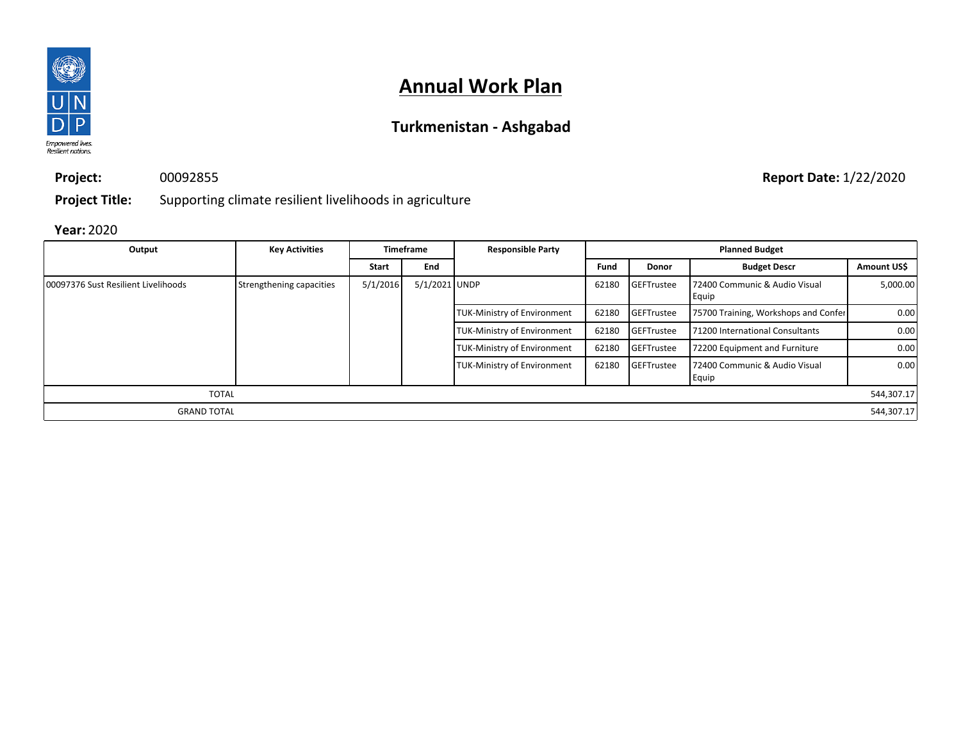

## **Turkmenistan - Ashgabad**

**Project:** 00092855

**Report Date:** 1/22/2020

**Project Title:** Supporting climate resilient livelihoods in agriculture

| Output                              | <b>Key Activities</b>    |              | <b>Timeframe</b> | <b>Responsible Party</b>           | <b>Planned Budget</b> |                   |                                        |             |
|-------------------------------------|--------------------------|--------------|------------------|------------------------------------|-----------------------|-------------------|----------------------------------------|-------------|
|                                     |                          | <b>Start</b> | End              |                                    | Fund                  | <b>Donor</b>      | <b>Budget Descr</b>                    | Amount US\$ |
| 00097376 Sust Resilient Livelihoods | Strengthening capacities | 5/1/2016     | 5/1/2021 UNDP    |                                    | 62180                 | <b>GEFTrustee</b> | 72400 Communic & Audio Visual<br>Equip | 5,000.00    |
|                                     |                          |              |                  | <b>TUK-Ministry of Environment</b> | 62180                 | <b>GEFTrustee</b> | 75700 Training, Workshops and Confer   | 0.00        |
|                                     |                          |              |                  | <b>TUK-Ministry of Environment</b> | 62180                 | <b>GEFTrustee</b> | 71200 International Consultants        | 0.00        |
|                                     |                          |              |                  | <b>TUK-Ministry of Environment</b> | 62180                 | <b>GEFTrustee</b> | 72200 Equipment and Furniture          | 0.00        |
|                                     |                          |              |                  | <b>TUK-Ministry of Environment</b> | 62180                 | GEFTrustee        | 72400 Communic & Audio Visual<br>Equip | 0.00        |
| <b>TOTAL</b>                        |                          |              |                  |                                    |                       |                   |                                        | 544,307.17  |
| <b>GRAND TOTAL</b>                  |                          |              |                  |                                    |                       |                   |                                        | 544,307.17  |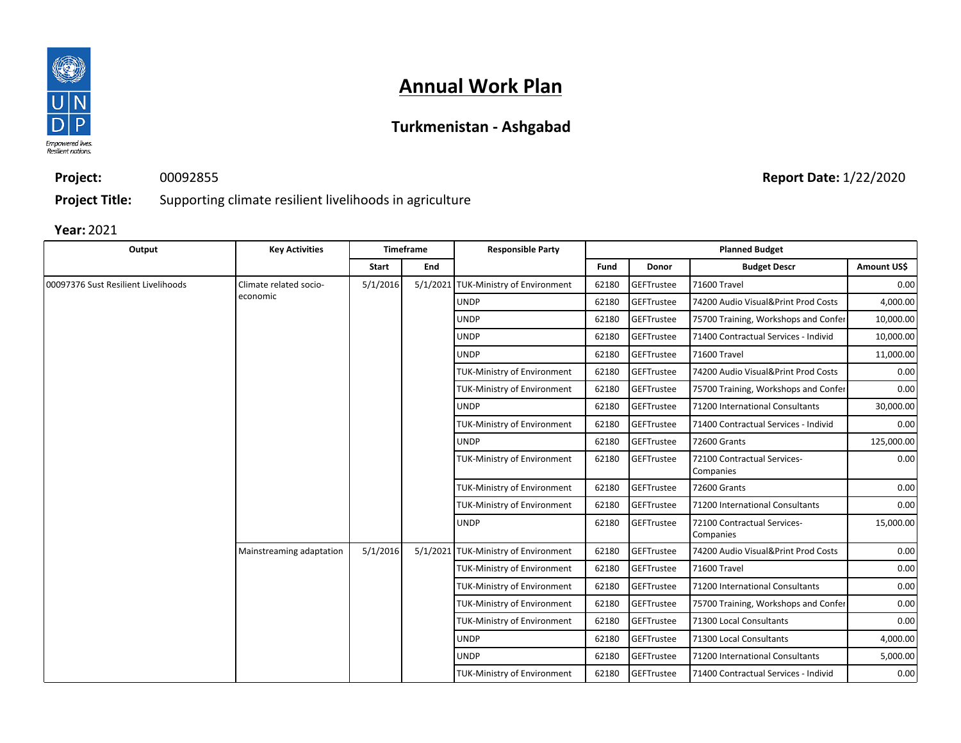

## **Turkmenistan - Ashgabad**

**Project:** 00092855

**Report Date:** 1/22/2020

**Project Title:** Supporting climate resilient livelihoods in agriculture

| Output                              | <b>Key Activities</b>    |              | <b>Timeframe</b> | <b>Responsible Party</b>             |                                    | <b>Planned Budget</b> |                                          |                                      |            |                                 |          |
|-------------------------------------|--------------------------|--------------|------------------|--------------------------------------|------------------------------------|-----------------------|------------------------------------------|--------------------------------------|------------|---------------------------------|----------|
|                                     |                          | <b>Start</b> | End              |                                      | Fund                               | Donor                 | <b>Budget Descr</b>                      | Amount US\$                          |            |                                 |          |
| 00097376 Sust Resilient Livelihoods | Climate related socio-   | 5/1/2016     |                  | 5/1/2021 TUK-Ministry of Environment | 62180                              | GEFTrustee            | 71600 Travel                             | 0.00                                 |            |                                 |          |
|                                     | economic                 |              |                  | <b>UNDP</b>                          | 62180                              | GEFTrustee            | 74200 Audio Visual&Print Prod Costs      | 4,000.00                             |            |                                 |          |
|                                     |                          |              |                  | <b>UNDP</b>                          | 62180                              | GEFTrustee            | 75700 Training, Workshops and Confer     | 10,000.00                            |            |                                 |          |
|                                     |                          |              |                  | <b>UNDP</b>                          | 62180                              | GEFTrustee            | 71400 Contractual Services - Individ     | 10,000.00                            |            |                                 |          |
|                                     |                          |              |                  | <b>UNDP</b>                          | 62180                              | GEFTrustee            | 71600 Travel                             | 11,000.00                            |            |                                 |          |
|                                     |                          |              |                  | <b>TUK-Ministry of Environment</b>   | 62180                              | GEFTrustee            | 74200 Audio Visual&Print Prod Costs      | 0.00                                 |            |                                 |          |
|                                     |                          |              |                  | <b>TUK-Ministry of Environment</b>   | 62180                              | GEFTrustee            | 75700 Training, Workshops and Confer     | 0.00                                 |            |                                 |          |
|                                     |                          |              |                  | <b>UNDP</b>                          | 62180                              | GEFTrustee            | 71200 International Consultants          | 30,000.00                            |            |                                 |          |
|                                     |                          |              |                  | <b>TUK-Ministry of Environment</b>   | 62180                              | GEFTrustee            | 71400 Contractual Services - Individ     | 0.00                                 |            |                                 |          |
|                                     |                          |              |                  | <b>UNDP</b>                          | 62180                              | GEFTrustee            | 72600 Grants                             | 125,000.00                           |            |                                 |          |
|                                     |                          |              |                  | <b>TUK-Ministry of Environment</b>   | 62180                              | GEFTrustee            | 72100 Contractual Services-<br>Companies | 0.00                                 |            |                                 |          |
|                                     |                          |              |                  | <b>TUK-Ministry of Environment</b>   | 62180                              | GEFTrustee            | 72600 Grants                             | 0.00                                 |            |                                 |          |
|                                     |                          |              |                  | <b>TUK-Ministry of Environment</b>   | 62180                              | GEFTrustee            | 71200 International Consultants          | 0.00                                 |            |                                 |          |
|                                     |                          |              |                  | <b>UNDP</b>                          | 62180                              | GEFTrustee            | 72100 Contractual Services-<br>Companies | 15,000.00                            |            |                                 |          |
|                                     | Mainstreaming adaptation | 5/1/2016     |                  | 5/1/2021 TUK-Ministry of Environment | 62180                              | GEFTrustee            | 74200 Audio Visual&Print Prod Costs      | 0.00                                 |            |                                 |          |
|                                     |                          |              |                  | TUK-Ministry of Environment          | 62180                              | <b>GEFTrustee</b>     | 71600 Travel                             | 0.00                                 |            |                                 |          |
|                                     |                          |              |                  | TUK-Ministry of Environment          | 62180                              | GEFTrustee            | 71200 International Consultants          | 0.00                                 |            |                                 |          |
|                                     |                          |              |                  | TUK-Ministry of Environment          | 62180                              | GEFTrustee            | 75700 Training, Workshops and Confer     | 0.00                                 |            |                                 |          |
|                                     |                          |              |                  | <b>TUK-Ministry of Environment</b>   | 62180                              | GEFTrustee            | 71300 Local Consultants                  | 0.00                                 |            |                                 |          |
|                                     |                          |              |                  | <b>UNDP</b>                          | 62180                              | <b>GEFTrustee</b>     | 71300 Local Consultants                  | 4,000.00                             |            |                                 |          |
|                                     |                          |              |                  |                                      |                                    |                       | <b>UNDP</b>                              | 62180                                | GEFTrustee | 71200 International Consultants | 5,000.00 |
|                                     |                          |              |                  |                                      | <b>TUK-Ministry of Environment</b> | 62180                 | <b>GEFTrustee</b>                        | 71400 Contractual Services - Individ | 0.00       |                                 |          |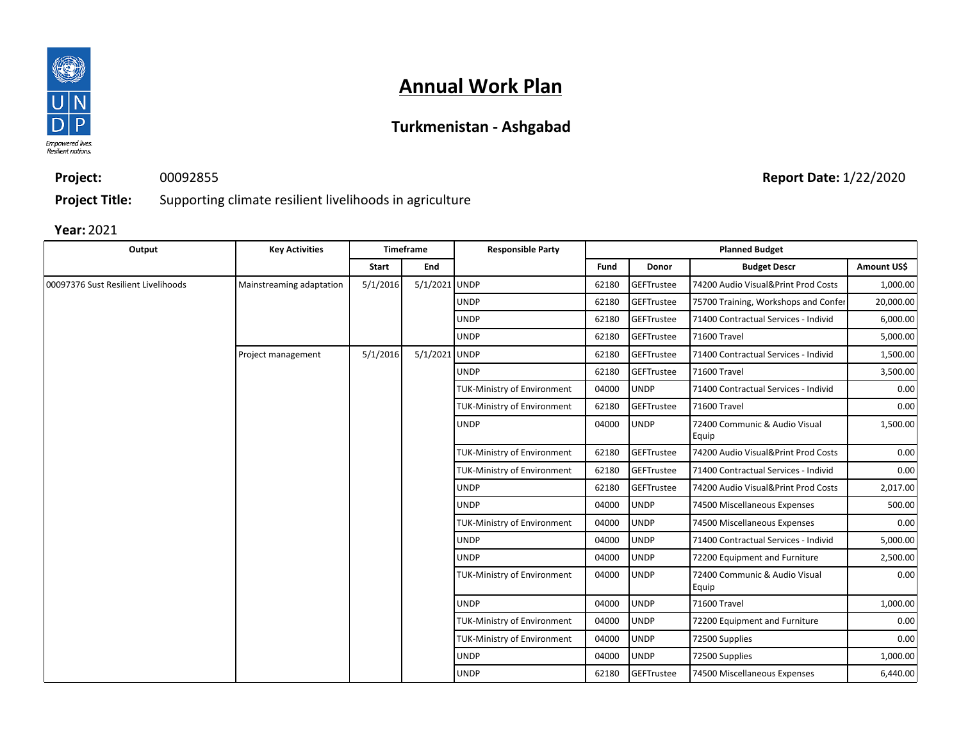

## **Turkmenistan - Ashgabad**

**Project:** 00092855 **Report Date:** 1/22/2020

**Project Title:** Supporting climate resilient livelihoods in agriculture

| Output                              | <b>Key Activities</b>    |          | <b>Timeframe</b> | <b>Responsible Party</b>           | <b>Planned Budget</b> |                   |                                        |             |             |                |          |
|-------------------------------------|--------------------------|----------|------------------|------------------------------------|-----------------------|-------------------|----------------------------------------|-------------|-------------|----------------|----------|
|                                     |                          | Start    | End              |                                    | Fund                  | Donor             | <b>Budget Descr</b>                    | Amount US\$ |             |                |          |
| 00097376 Sust Resilient Livelihoods | Mainstreaming adaptation | 5/1/2016 | 5/1/2021 UNDP    |                                    | 62180                 | GEFTrustee        | 74200 Audio Visual&Print Prod Costs    | 1,000.00    |             |                |          |
|                                     |                          |          |                  | <b>UNDP</b>                        | 62180                 | GEFTrustee        | 75700 Training, Workshops and Confer   | 20,000.00   |             |                |          |
|                                     |                          |          |                  | <b>UNDP</b>                        | 62180                 | GEFTrustee        | 71400 Contractual Services - Individ   | 6,000.00    |             |                |          |
|                                     |                          |          |                  | <b>UNDP</b>                        | 62180                 | GEFTrustee        | 71600 Travel                           | 5,000.00    |             |                |          |
|                                     | Project management       | 5/1/2016 | 5/1/2021 UNDP    |                                    | 62180                 | <b>GEFTrustee</b> | 71400 Contractual Services - Individ   | 1,500.00    |             |                |          |
|                                     |                          |          |                  | <b>UNDP</b>                        | 62180                 | GEFTrustee        | 71600 Travel                           | 3,500.00    |             |                |          |
|                                     |                          |          |                  | TUK-Ministry of Environment        | 04000                 | <b>UNDP</b>       | 71400 Contractual Services - Individ   | 0.00        |             |                |          |
|                                     |                          |          |                  | <b>TUK-Ministry of Environment</b> | 62180                 | GEFTrustee        | 71600 Travel                           | 0.00        |             |                |          |
|                                     |                          |          |                  | <b>UNDP</b>                        | 04000                 | <b>UNDP</b>       | 72400 Communic & Audio Visual<br>Equip | 1,500.00    |             |                |          |
|                                     |                          |          |                  | <b>TUK-Ministry of Environment</b> | 62180                 | GEFTrustee        | 74200 Audio Visual&Print Prod Costs    | 0.00        |             |                |          |
|                                     |                          |          |                  | <b>TUK-Ministry of Environment</b> | 62180                 | <b>GEFTrustee</b> | 71400 Contractual Services - Individ   | 0.00        |             |                |          |
|                                     |                          |          |                  | <b>UNDP</b>                        | 62180                 | GEFTrustee        | 74200 Audio Visual&Print Prod Costs    | 2,017.00    |             |                |          |
|                                     |                          |          |                  | <b>UNDP</b>                        | 04000                 | <b>UNDP</b>       | 74500 Miscellaneous Expenses           | 500.00      |             |                |          |
|                                     |                          |          |                  | <b>TUK-Ministry of Environment</b> | 04000                 | <b>UNDP</b>       | 74500 Miscellaneous Expenses           | 0.00        |             |                |          |
|                                     |                          |          |                  | <b>UNDP</b>                        | 04000                 | <b>UNDP</b>       | 71400 Contractual Services - Individ   | 5,000.00    |             |                |          |
|                                     |                          |          |                  | <b>UNDP</b>                        | 04000                 | <b>UNDP</b>       | 72200 Equipment and Furniture          | 2,500.00    |             |                |          |
|                                     |                          |          |                  | <b>TUK-Ministry of Environment</b> | 04000                 | <b>UNDP</b>       | 72400 Communic & Audio Visual<br>Equip | 0.00        |             |                |          |
|                                     |                          |          |                  | <b>UNDP</b>                        | 04000                 | <b>UNDP</b>       | 71600 Travel                           | 1,000.00    |             |                |          |
|                                     |                          |          |                  | <b>TUK-Ministry of Environment</b> | 04000                 | <b>UNDP</b>       | 72200 Equipment and Furniture          | 0.00        |             |                |          |
|                                     |                          |          |                  | <b>TUK-Ministry of Environment</b> | 04000                 | <b>UNDP</b>       | 72500 Supplies                         | 0.00        |             |                |          |
|                                     |                          |          |                  |                                    |                       |                   | <b>UNDP</b>                            | 04000       | <b>UNDP</b> | 72500 Supplies | 1,000.00 |
|                                     |                          |          |                  | <b>UNDP</b>                        | 62180                 | <b>GEFTrustee</b> | 74500 Miscellaneous Expenses           | 6,440.00    |             |                |          |